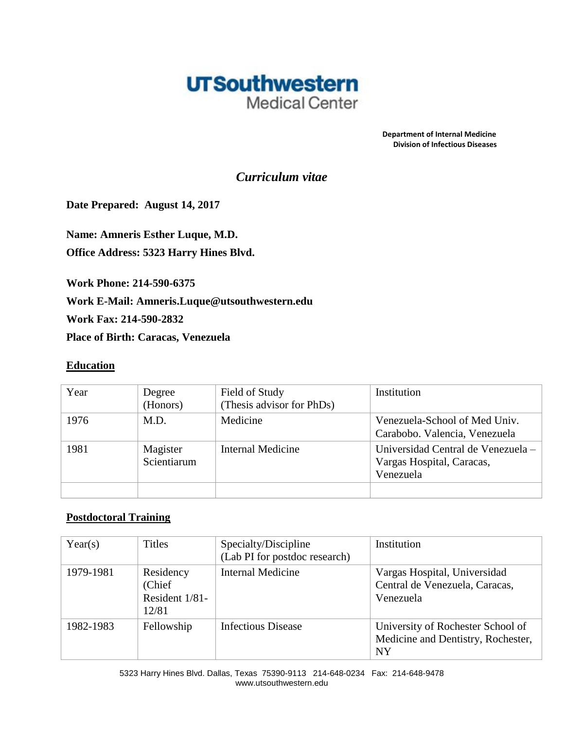

 **Department of Internal Medicine Division of Infectious Diseases**

# *Curriculum vitae*

**Date Prepared: August 14, 2017**

**Name: Amneris Esther Luque, M.D. Office Address: 5323 Harry Hines Blvd.** 

**Work Phone: 214-590-6375**

**Work E-Mail: Amneris.Luque@utsouthwestern.edu**

**Work Fax: 214-590-2832**

**Place of Birth: Caracas, Venezuela**

#### **Education**

| Year | Degree<br>(Honors)      | Field of Study<br>(Thesis advisor for PhDs) | Institution                                                                  |
|------|-------------------------|---------------------------------------------|------------------------------------------------------------------------------|
| 1976 | M.D.                    | Medicine                                    | Venezuela-School of Med Univ.<br>Carabobo. Valencia, Venezuela               |
| 1981 | Magister<br>Scientiarum | Internal Medicine                           | Universidad Central de Venezuela -<br>Vargas Hospital, Caracas,<br>Venezuela |
|      |                         |                                             |                                                                              |

### **Postdoctoral Training**

| Year(s)   | <b>Titles</b>                                   | Specialty/Discipline<br>(Lab PI for postdoc research) | Institution                                                                          |
|-----------|-------------------------------------------------|-------------------------------------------------------|--------------------------------------------------------------------------------------|
| 1979-1981 | Residency<br>(Chief)<br>Resident 1/81-<br>12/81 | <b>Internal Medicine</b>                              | Vargas Hospital, Universidad<br>Central de Venezuela, Caracas,<br>Venezuela          |
| 1982-1983 | Fellowship                                      | Infectious Disease                                    | University of Rochester School of<br>Medicine and Dentistry, Rochester,<br><b>NY</b> |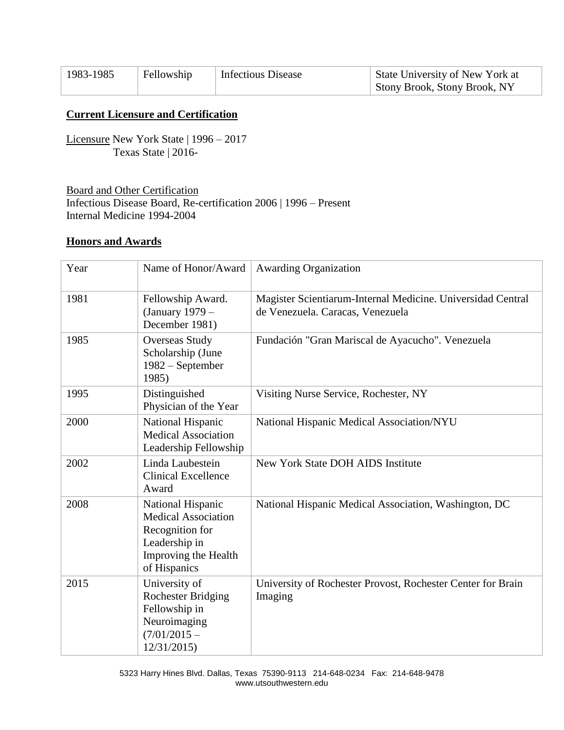| 1983-1985 | Fellowship | <b>Infectious Disease</b> | State University of New York at |
|-----------|------------|---------------------------|---------------------------------|
|           |            |                           | Stony Brook, Stony Brook, NY    |

# **Current Licensure and Certification**

Licensure New York State | 1996 – 2017 Texas State | 2016-

Board and Other Certification Infectious Disease Board, Re-certification 2006 | 1996 – Present Internal Medicine 1994-2004

#### **Honors and Awards**

| Year | Name of Honor/Award                                                                                                         | <b>Awarding Organization</b>                                                                    |
|------|-----------------------------------------------------------------------------------------------------------------------------|-------------------------------------------------------------------------------------------------|
| 1981 | Fellowship Award.<br>(January 1979 -<br>December 1981)                                                                      | Magister Scientiarum-Internal Medicine. Universidad Central<br>de Venezuela. Caracas, Venezuela |
| 1985 | <b>Overseas Study</b><br>Scholarship (June<br>1982 – September<br>1985)                                                     | Fundación "Gran Mariscal de Ayacucho". Venezuela                                                |
| 1995 | Distinguished<br>Physician of the Year                                                                                      | Visiting Nurse Service, Rochester, NY                                                           |
| 2000 | National Hispanic<br><b>Medical Association</b><br>Leadership Fellowship                                                    | National Hispanic Medical Association/NYU                                                       |
| 2002 | Linda Laubestein<br><b>Clinical Excellence</b><br>Award                                                                     | <b>New York State DOH AIDS Institute</b>                                                        |
| 2008 | National Hispanic<br><b>Medical Association</b><br>Recognition for<br>Leadership in<br>Improving the Health<br>of Hispanics | National Hispanic Medical Association, Washington, DC                                           |
| 2015 | University of<br><b>Rochester Bridging</b><br>Fellowship in<br>Neuroimaging<br>$(7/01/2015 -$<br>12/31/2015                 | University of Rochester Provost, Rochester Center for Brain<br>Imaging                          |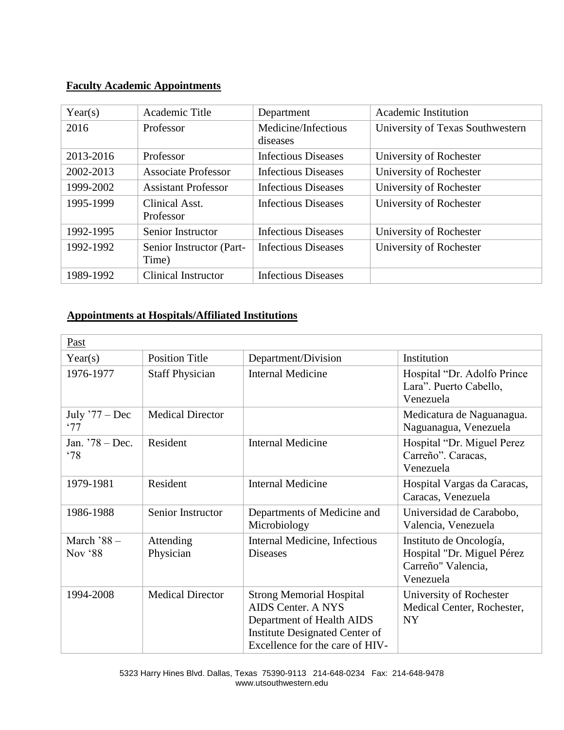## **Faculty Academic Appointments**

| Year(s)   | Academic Title                    | Department                      | <b>Academic Institution</b>      |
|-----------|-----------------------------------|---------------------------------|----------------------------------|
| 2016      | Professor                         | Medicine/Infectious<br>diseases | University of Texas Southwestern |
| 2013-2016 | Professor                         | <b>Infectious Diseases</b>      | University of Rochester          |
| 2002-2013 | <b>Associate Professor</b>        | <b>Infectious Diseases</b>      | University of Rochester          |
| 1999-2002 | <b>Assistant Professor</b>        | <b>Infectious Diseases</b>      | University of Rochester          |
| 1995-1999 | Clinical Asst.<br>Professor       | <b>Infectious Diseases</b>      | University of Rochester          |
| 1992-1995 | Senior Instructor                 | <b>Infectious Diseases</b>      | University of Rochester          |
| 1992-1992 | Senior Instructor (Part-<br>Time) | <b>Infectious Diseases</b>      | University of Rochester          |
| 1989-1992 | <b>Clinical Instructor</b>        | <b>Infectious Diseases</b>      |                                  |

# **Appointments at Hospitals/Affiliated Institutions**

| Past                    |                         |                                                                                                                                                                |                                                                                          |
|-------------------------|-------------------------|----------------------------------------------------------------------------------------------------------------------------------------------------------------|------------------------------------------------------------------------------------------|
| Year(s)                 | <b>Position Title</b>   | Department/Division                                                                                                                                            | Institution                                                                              |
| 1976-1977               | <b>Staff Physician</b>  | <b>Internal Medicine</b>                                                                                                                                       | Hospital "Dr. Adolfo Prince"<br>Lara". Puerto Cabello,<br>Venezuela                      |
| July $'77 - Dec$<br>'77 | <b>Medical Director</b> |                                                                                                                                                                | Medicatura de Naguanagua.<br>Naguanagua, Venezuela                                       |
| Jan. $78 - Dec.$<br>.78 | Resident                | <b>Internal Medicine</b>                                                                                                                                       | Hospital "Dr. Miguel Perez<br>Carreño". Caracas,<br>Venezuela                            |
| 1979-1981               | Resident                | <b>Internal Medicine</b>                                                                                                                                       | Hospital Vargas da Caracas,<br>Caracas, Venezuela                                        |
| 1986-1988               | Senior Instructor       | Departments of Medicine and<br>Microbiology                                                                                                                    | Universidad de Carabobo,<br>Valencia, Venezuela                                          |
| March $88 -$<br>Nov '88 | Attending<br>Physician  | Internal Medicine, Infectious<br><b>Diseases</b>                                                                                                               | Instituto de Oncología,<br>Hospital "Dr. Miguel Pérez<br>Carreño" Valencia,<br>Venezuela |
| 1994-2008               | <b>Medical Director</b> | <b>Strong Memorial Hospital</b><br><b>AIDS Center. A NYS</b><br>Department of Health AIDS<br>Institute Designated Center of<br>Excellence for the care of HIV- | University of Rochester<br>Medical Center, Rochester,<br><b>NY</b>                       |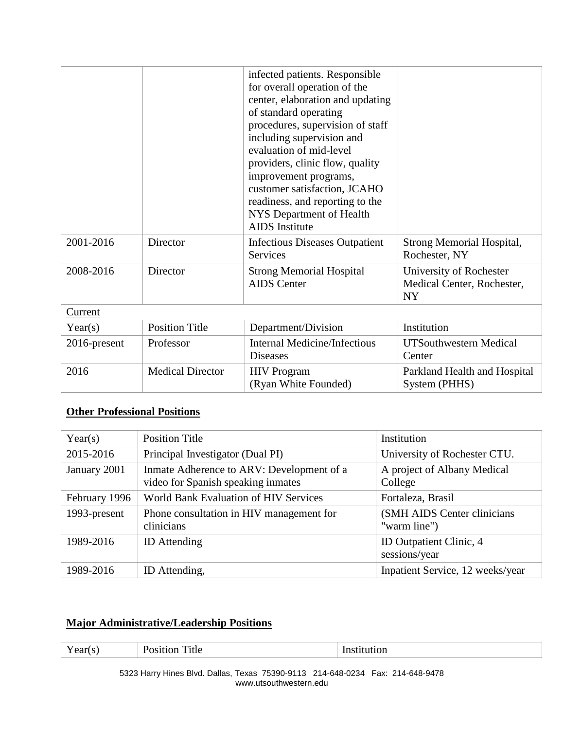|              |                         | infected patients. Responsible<br>for overall operation of the<br>center, elaboration and updating<br>of standard operating<br>procedures, supervision of staff<br>including supervision and<br>evaluation of mid-level<br>providers, clinic flow, quality<br>improvement programs,<br>customer satisfaction, JCAHO<br>readiness, and reporting to the<br>NYS Department of Health<br><b>AIDS</b> Institute |                                                                    |
|--------------|-------------------------|-------------------------------------------------------------------------------------------------------------------------------------------------------------------------------------------------------------------------------------------------------------------------------------------------------------------------------------------------------------------------------------------------------------|--------------------------------------------------------------------|
| 2001-2016    | Director                | Infectious Diseases Outpatient<br><b>Services</b>                                                                                                                                                                                                                                                                                                                                                           | Strong Memorial Hospital,<br>Rochester, NY                         |
| 2008-2016    | Director                | <b>Strong Memorial Hospital</b><br><b>AIDS</b> Center                                                                                                                                                                                                                                                                                                                                                       | University of Rochester<br>Medical Center, Rochester,<br><b>NY</b> |
| Current      |                         |                                                                                                                                                                                                                                                                                                                                                                                                             |                                                                    |
| Year(s)      | <b>Position Title</b>   | Department/Division                                                                                                                                                                                                                                                                                                                                                                                         | Institution                                                        |
| 2016-present | Professor               | <b>Internal Medicine/Infectious</b><br><b>Diseases</b>                                                                                                                                                                                                                                                                                                                                                      | <b>UTSouthwestern Medical</b><br>Center                            |
| 2016         | <b>Medical Director</b> | <b>HIV Program</b><br>(Ryan White Founded)                                                                                                                                                                                                                                                                                                                                                                  | Parkland Health and Hospital<br>System (PHHS)                      |

# **Other Professional Positions**

| Year(s)       | <b>Position Title</b>                                                           | Institution                                 |
|---------------|---------------------------------------------------------------------------------|---------------------------------------------|
| 2015-2016     | Principal Investigator (Dual PI)                                                | University of Rochester CTU.                |
| January 2001  | Inmate Adherence to ARV: Development of a<br>video for Spanish speaking inmates | A project of Albany Medical<br>College      |
| February 1996 | World Bank Evaluation of HIV Services                                           | Fortaleza, Brasil                           |
| 1993-present  | Phone consultation in HIV management for<br>clinicians                          | (SMH AIDS Center clinicians<br>"warm line") |
| 1989-2016     | <b>ID</b> Attending                                                             | ID Outpatient Clinic, 4<br>sessions/year    |
| 1989-2016     | ID Attending,                                                                   | Inpatient Service, 12 weeks/year            |

# **Major Administrative/Leadership Positions**

| $ -$ | . |
|------|---|
|      |   |

5323 Harry Hines Blvd. Dallas, Texas 75390-9113 214-648-0234 Fax: 214-648-9478 www.utsouthwestern.edu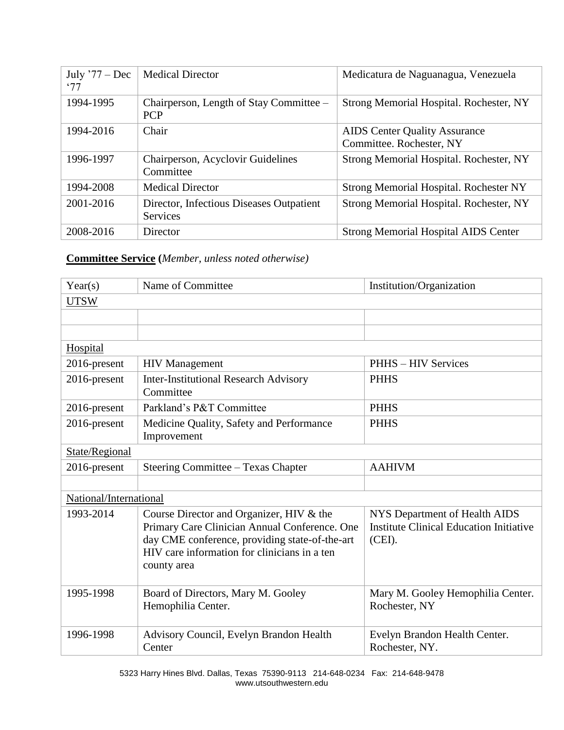| July $77 - Dec$<br>.77 | <b>Medical Director</b>                               | Medicatura de Naguanagua, Venezuela         |
|------------------------|-------------------------------------------------------|---------------------------------------------|
| 1994-1995              | Chairperson, Length of Stay Committee –<br><b>PCP</b> | Strong Memorial Hospital. Rochester, NY     |
| 1994-2016              | Chair                                                 | <b>AIDS</b> Center Quality Assurance        |
|                        |                                                       | Committee. Rochester, NY                    |
| 1996-1997              | Chairperson, Acyclovir Guidelines                     | Strong Memorial Hospital. Rochester, NY     |
|                        | Committee                                             |                                             |
| 1994-2008              | <b>Medical Director</b>                               | Strong Memorial Hospital. Rochester NY      |
| 2001-2016              | Director, Infectious Diseases Outpatient              | Strong Memorial Hospital. Rochester, NY     |
|                        | <b>Services</b>                                       |                                             |
| 2008-2016              | Director                                              | <b>Strong Memorial Hospital AIDS Center</b> |

# **Committee Service (***Member, unless noted otherwise)*

| Year(s)                | Name of Committee                                                                                                                                                                                          | Institution/Organization                                                                  |
|------------------------|------------------------------------------------------------------------------------------------------------------------------------------------------------------------------------------------------------|-------------------------------------------------------------------------------------------|
| <b>UTSW</b>            |                                                                                                                                                                                                            |                                                                                           |
|                        |                                                                                                                                                                                                            |                                                                                           |
|                        |                                                                                                                                                                                                            |                                                                                           |
| Hospital               |                                                                                                                                                                                                            |                                                                                           |
| 2016-present           | <b>HIV Management</b>                                                                                                                                                                                      | <b>PHHS - HIV Services</b>                                                                |
| 2016-present           | <b>Inter-Institutional Research Advisory</b><br>Committee                                                                                                                                                  | <b>PHHS</b>                                                                               |
| 2016-present           | Parkland's P&T Committee                                                                                                                                                                                   | <b>PHHS</b>                                                                               |
| 2016-present           | Medicine Quality, Safety and Performance<br>Improvement                                                                                                                                                    | <b>PHHS</b>                                                                               |
| State/Regional         |                                                                                                                                                                                                            |                                                                                           |
| 2016-present           | Steering Committee - Texas Chapter                                                                                                                                                                         | <b>AAHIVM</b>                                                                             |
|                        |                                                                                                                                                                                                            |                                                                                           |
| National/International |                                                                                                                                                                                                            |                                                                                           |
| 1993-2014              | Course Director and Organizer, HIV & the<br>Primary Care Clinician Annual Conference. One<br>day CME conference, providing state-of-the-art<br>HIV care information for clinicians in a ten<br>county area | NYS Department of Health AIDS<br><b>Institute Clinical Education Initiative</b><br>(CEI). |
| 1995-1998              | Board of Directors, Mary M. Gooley<br>Hemophilia Center.                                                                                                                                                   | Mary M. Gooley Hemophilia Center.<br>Rochester, NY                                        |
| 1996-1998              | Advisory Council, Evelyn Brandon Health<br>Center                                                                                                                                                          | Evelyn Brandon Health Center.<br>Rochester, NY.                                           |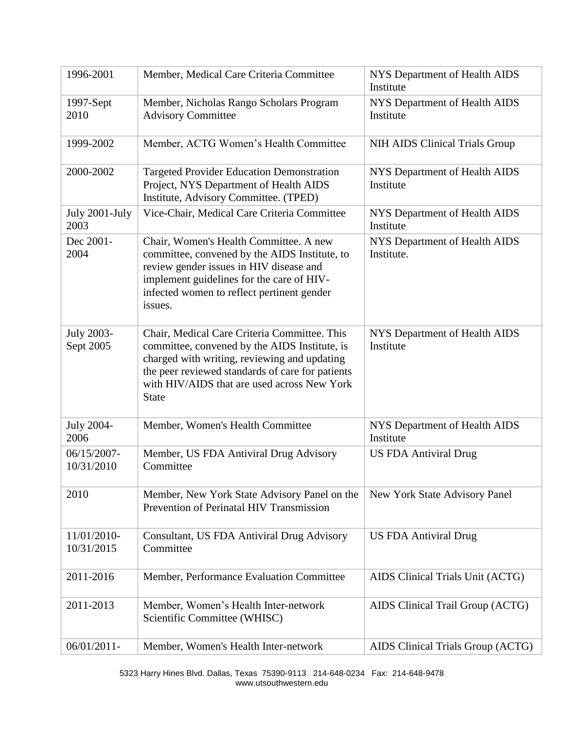| 1996-2001                      | Member, Medical Care Criteria Committee                                                                                                                                                                                                                          | NYS Department of Health AIDS<br>Institute  |
|--------------------------------|------------------------------------------------------------------------------------------------------------------------------------------------------------------------------------------------------------------------------------------------------------------|---------------------------------------------|
| 1997-Sept<br>2010              | Member, Nicholas Rango Scholars Program<br><b>Advisory Committee</b>                                                                                                                                                                                             | NYS Department of Health AIDS<br>Institute  |
| 1999-2002                      | Member, ACTG Women's Health Committee                                                                                                                                                                                                                            | NIH AIDS Clinical Trials Group              |
| 2000-2002                      | <b>Targeted Provider Education Demonstration</b><br>Project, NYS Department of Health AIDS<br>Institute, Advisory Committee. (TPED)                                                                                                                              | NYS Department of Health AIDS<br>Institute  |
| July 2001-July<br>2003         | Vice-Chair, Medical Care Criteria Committee                                                                                                                                                                                                                      | NYS Department of Health AIDS<br>Institute  |
| Dec 2001-<br>2004              | Chair, Women's Health Committee. A new<br>committee, convened by the AIDS Institute, to<br>review gender issues in HIV disease and<br>implement guidelines for the care of HIV-<br>infected women to reflect pertinent gender<br>issues.                         | NYS Department of Health AIDS<br>Institute. |
| <b>July 2003-</b><br>Sept 2005 | Chair, Medical Care Criteria Committee. This<br>committee, convened by the AIDS Institute, is<br>charged with writing, reviewing and updating<br>the peer reviewed standards of care for patients<br>with HIV/AIDS that are used across New York<br><b>State</b> | NYS Department of Health AIDS<br>Institute  |
| July 2004-<br>2006             | Member, Women's Health Committee                                                                                                                                                                                                                                 | NYS Department of Health AIDS<br>Institute  |
| 06/15/2007-<br>10/31/2010      | Member, US FDA Antiviral Drug Advisory<br>Committee                                                                                                                                                                                                              | <b>US FDA Antiviral Drug</b>                |
| 2010                           | Member, New York State Advisory Panel on the<br>Prevention of Perinatal HIV Transmission                                                                                                                                                                         | New York State Advisory Panel               |
| 11/01/2010-<br>10/31/2015      | Consultant, US FDA Antiviral Drug Advisory<br>Committee                                                                                                                                                                                                          | <b>US FDA Antiviral Drug</b>                |
| 2011-2016                      | Member, Performance Evaluation Committee                                                                                                                                                                                                                         | AIDS Clinical Trials Unit (ACTG)            |
| 2011-2013                      | Member, Women's Health Inter-network<br>Scientific Committee (WHISC)                                                                                                                                                                                             | AIDS Clinical Trail Group (ACTG)            |
| 06/01/2011-                    | Member, Women's Health Inter-network                                                                                                                                                                                                                             | AIDS Clinical Trials Group (ACTG)           |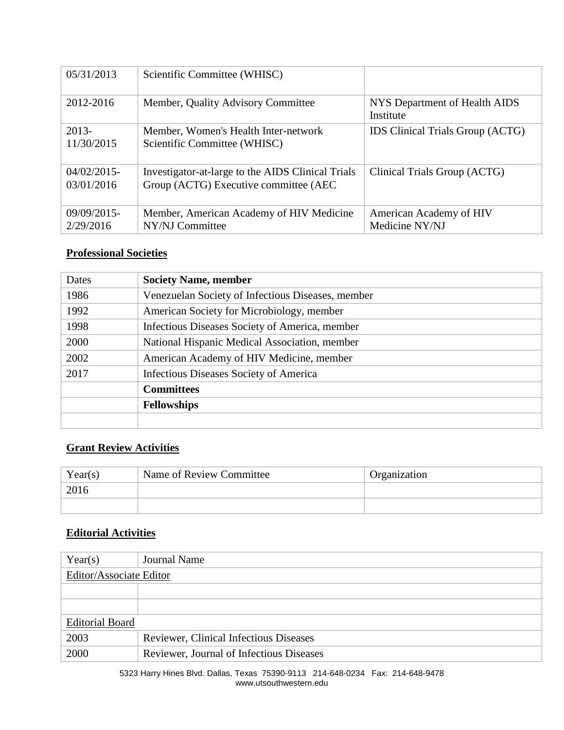| 05/31/2013                   | Scientific Committee (WHISC)                                                               |                                            |
|------------------------------|--------------------------------------------------------------------------------------------|--------------------------------------------|
| 2012-2016                    | Member, Quality Advisory Committee                                                         | NYS Department of Health AIDS<br>Institute |
| $2013-$<br>11/30/2015        | Member, Women's Health Inter-network<br>Scientific Committee (WHISC)                       | IDS Clinical Trials Group (ACTG)           |
| $04/02/2015$ -<br>03/01/2016 | Investigator-at-large to the AIDS Clinical Trials<br>Group (ACTG) Executive committee (AEC | Clinical Trials Group (ACTG)               |
| 09/09/2015-<br>2/29/2016     | Member, American Academy of HIV Medicine<br>NY/NJ Committee                                | American Academy of HIV<br>Medicine NY/NJ  |

# **Professional Societies**

| Dates | <b>Society Name, member</b>                                                                                                         |  |
|-------|-------------------------------------------------------------------------------------------------------------------------------------|--|
| 1986  | Venezuelan Society of Infectious Diseases, member                                                                                   |  |
| 1992  | American Society for Microbiology, member                                                                                           |  |
| 1998  | Infectious Diseases Society of America, member                                                                                      |  |
| 2000  | National Hispanic Medical Association, member<br>American Academy of HIV Medicine, member<br>Infectious Diseases Society of America |  |
| 2002  |                                                                                                                                     |  |
| 2017  |                                                                                                                                     |  |
|       | <b>Committees</b>                                                                                                                   |  |
|       | <b>Fellowships</b>                                                                                                                  |  |
|       |                                                                                                                                     |  |

# **Grant Review Activities**

| Year(s) | Name of Review Committee | Organization |
|---------|--------------------------|--------------|
| 2016    |                          |              |
|         |                          |              |

### **Editorial Activities**

| Year(s)                 | Journal Name                                  |  |
|-------------------------|-----------------------------------------------|--|
| Editor/Associate Editor |                                               |  |
|                         |                                               |  |
|                         |                                               |  |
| <b>Editorial Board</b>  |                                               |  |
| 2003                    | <b>Reviewer, Clinical Infectious Diseases</b> |  |
| 2000                    | Reviewer, Journal of Infectious Diseases      |  |

5323 Harry Hines Blvd. Dallas, Texas 75390-9113 214-648-0234 Fax: 214-648-9478 www.utsouthwestern.edu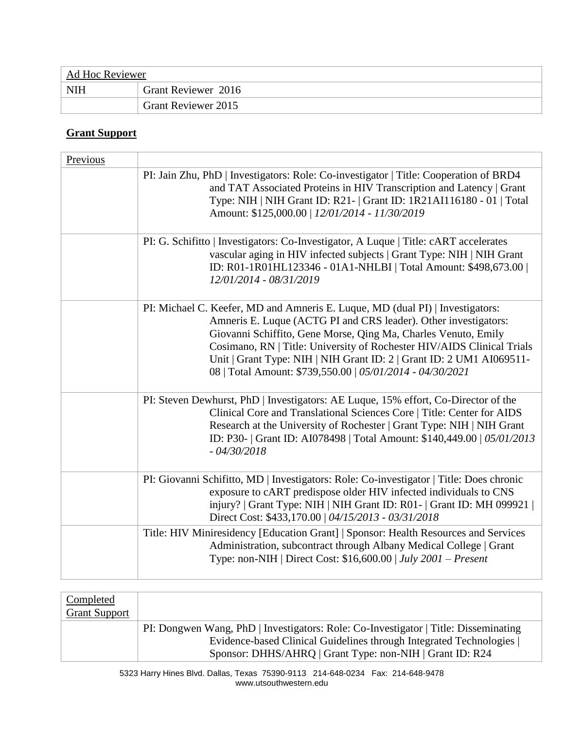| Ad Hoc Reviewer |                            |
|-----------------|----------------------------|
| <b>NIH</b>      | Grant Reviewer 2016        |
|                 | <b>Grant Reviewer 2015</b> |

# **Grant Support**

| Previous |                                                                                                                                                                                                                                                                                                                                                                                                                                   |
|----------|-----------------------------------------------------------------------------------------------------------------------------------------------------------------------------------------------------------------------------------------------------------------------------------------------------------------------------------------------------------------------------------------------------------------------------------|
|          | PI: Jain Zhu, PhD   Investigators: Role: Co-investigator   Title: Cooperation of BRD4<br>and TAT Associated Proteins in HIV Transcription and Latency   Grant<br>Type: NIH   NIH Grant ID: R21-   Grant ID: 1R21AI116180 - 01   Total<br>Amount: \$125,000.00   12/01/2014 - 11/30/2019                                                                                                                                           |
|          | PI: G. Schifitto   Investigators: Co-Investigator, A Luque   Title: cART accelerates<br>vascular aging in HIV infected subjects   Grant Type: NIH   NIH Grant<br>ID: R01-1R01HL123346 - 01A1-NHLBI   Total Amount: \$498,673.00  <br>12/01/2014 - 08/31/2019                                                                                                                                                                      |
|          | PI: Michael C. Keefer, MD and Amneris E. Luque, MD (dual PI)   Investigators:<br>Amneris E. Luque (ACTG PI and CRS leader). Other investigators:<br>Giovanni Schiffito, Gene Morse, Qing Ma, Charles Venuto, Emily<br>Cosimano, RN   Title: University of Rochester HIV/AIDS Clinical Trials<br>Unit   Grant Type: NIH   NIH Grant ID: 2   Grant ID: 2 UM1 AI069511-<br>08   Total Amount: \$739,550.00   05/01/2014 - 04/30/2021 |
|          | PI: Steven Dewhurst, PhD   Investigators: AE Luque, 15% effort, Co-Director of the<br>Clinical Core and Translational Sciences Core   Title: Center for AIDS<br>Research at the University of Rochester   Grant Type: NIH   NIH Grant<br>ID: P30-   Grant ID: AI078498   Total Amount: \$140,449.00   05/01/2013<br>$-04/30/2018$                                                                                                 |
|          | PI: Giovanni Schifitto, MD   Investigators: Role: Co-investigator   Title: Does chronic<br>exposure to cART predispose older HIV infected individuals to CNS<br>injury?   Grant Type: NIH   NIH Grant ID: R01 -   Grant ID: MH 099921  <br>Direct Cost: \$433,170.00   04/15/2013 - 03/31/2018                                                                                                                                    |
|          | Title: HIV Miniresidency [Education Grant]   Sponsor: Health Resources and Services<br>Administration, subcontract through Albany Medical College   Grant<br>Type: non-NIH   Direct Cost: $$16,600.00$   July 2001 - Present                                                                                                                                                                                                      |

| Completed<br><b>Grant Support</b> |                                                                                     |  |
|-----------------------------------|-------------------------------------------------------------------------------------|--|
|                                   | PI: Dongwen Wang, PhD   Investigators: Role: Co-Investigator   Title: Disseminating |  |
|                                   | Evidence-based Clinical Guidelines through Integrated Technologies                  |  |
|                                   | Sponsor: DHHS/AHRQ   Grant Type: non-NIH   Grant ID: R24                            |  |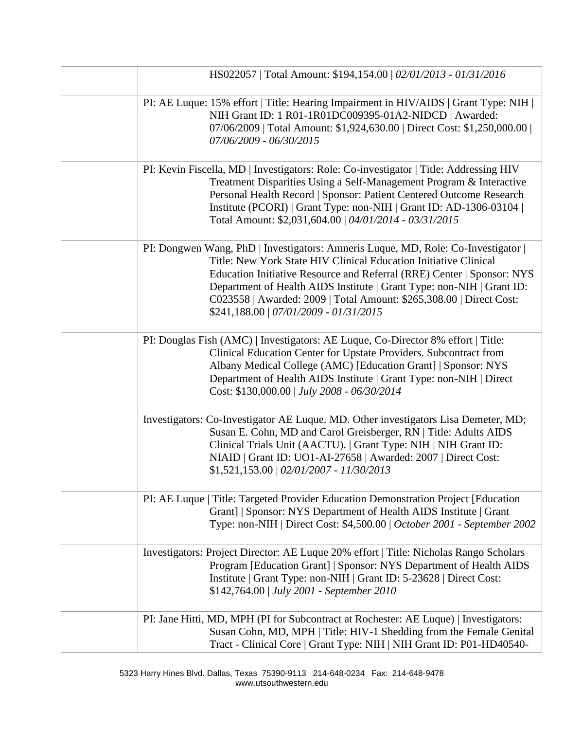| HS022057   Total Amount: \$194,154.00   02/01/2013 - 01/31/2016                                                                                                                                                                                                                                                                                                                                                           |  |
|---------------------------------------------------------------------------------------------------------------------------------------------------------------------------------------------------------------------------------------------------------------------------------------------------------------------------------------------------------------------------------------------------------------------------|--|
| PI: AE Luque: 15% effort   Title: Hearing Impairment in HIV/AIDS   Grant Type: NIH  <br>NIH Grant ID: 1 R01-1R01DC009395-01A2-NIDCD   Awarded:<br>07/06/2009   Total Amount: \$1,924,630.00   Direct Cost: \$1,250,000.00  <br>07/06/2009 - 06/30/2015                                                                                                                                                                    |  |
| PI: Kevin Fiscella, MD   Investigators: Role: Co-investigator   Title: Addressing HIV<br>Treatment Disparities Using a Self-Management Program & Interactive<br>Personal Health Record   Sponsor: Patient Centered Outcome Research<br>Institute (PCORI)   Grant Type: non-NIH   Grant ID: AD-1306-03104  <br>Total Amount: \$2,031,604.00   04/01/2014 - 03/31/2015                                                      |  |
| PI: Dongwen Wang, PhD   Investigators: Amneris Luque, MD, Role: Co-Investigator  <br>Title: New York State HIV Clinical Education Initiative Clinical<br>Education Initiative Resource and Referral (RRE) Center   Sponsor: NYS<br>Department of Health AIDS Institute   Grant Type: non-NIH   Grant ID:<br>C023558   Awarded: 2009   Total Amount: \$265,308.00   Direct Cost:<br>\$241,188.00   07/01/2009 - 01/31/2015 |  |
| PI: Douglas Fish (AMC)   Investigators: AE Luque, Co-Director 8% effort   Title:<br>Clinical Education Center for Upstate Providers. Subcontract from<br>Albany Medical College (AMC) [Education Grant]   Sponsor: NYS<br>Department of Health AIDS Institute   Grant Type: non-NIH   Direct<br>Cost: \$130,000.00   July 2008 - 06/30/2014                                                                               |  |
| Investigators: Co-Investigator AE Luque. MD. Other investigators Lisa Demeter, MD;<br>Susan E. Cohn, MD and Carol Greisberger, RN   Title: Adults AIDS<br>Clinical Trials Unit (AACTU).   Grant Type: NIH   NIH Grant ID:<br>NIAID   Grant ID: UO1-AI-27658   Awarded: 2007   Direct Cost:<br>$$1,521,153.00 \mid 02/01/2007 - 11/30/2013$                                                                                |  |
| PI: AE Luque   Title: Targeted Provider Education Demonstration Project [Education]<br>Grant]   Sponsor: NYS Department of Health AIDS Institute   Grant<br>Type: non-NIH   Direct Cost: \$4,500.00   October 2001 - September 2002                                                                                                                                                                                       |  |
| Investigators: Project Director: AE Luque 20% effort   Title: Nicholas Rango Scholars<br>Program [Education Grant]   Sponsor: NYS Department of Health AIDS<br>Institute   Grant Type: non-NIH   Grant ID: 5-23628   Direct Cost:<br>\$142,764.00   July 2001 - September 2010                                                                                                                                            |  |
| PI: Jane Hitti, MD, MPH (PI for Subcontract at Rochester: AE Luque)   Investigators:<br>Susan Cohn, MD, MPH   Title: HIV-1 Shedding from the Female Genital<br>Tract - Clinical Core   Grant Type: NIH   NIH Grant ID: P01-HD40540-                                                                                                                                                                                       |  |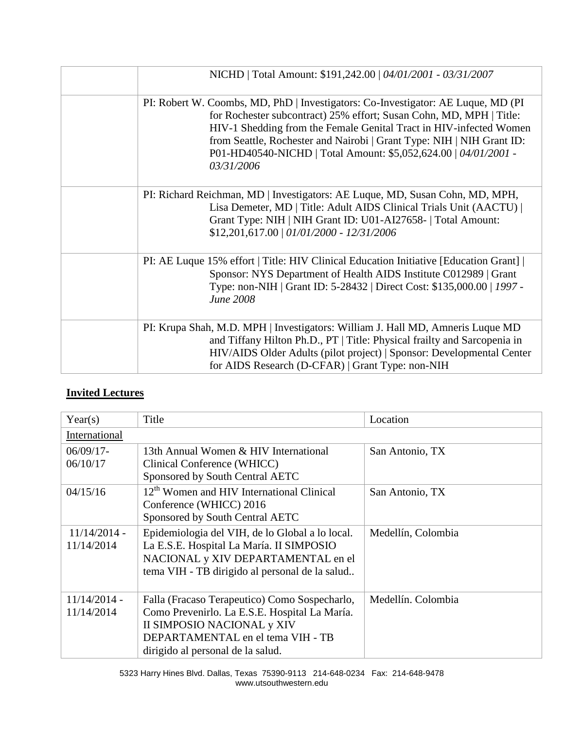| NICHD   Total Amount: \$191,242.00   04/01/2001 - 03/31/2007                                                                                                                                                                                                                                                                                                                             |
|------------------------------------------------------------------------------------------------------------------------------------------------------------------------------------------------------------------------------------------------------------------------------------------------------------------------------------------------------------------------------------------|
| PI: Robert W. Coombs, MD, PhD   Investigators: Co-Investigator: AE Luque, MD (PI)<br>for Rochester subcontract) 25% effort; Susan Cohn, MD, MPH   Title:<br>HIV-1 Shedding from the Female Genital Tract in HIV-infected Women<br>from Seattle, Rochester and Nairobi   Grant Type: NIH   NIH Grant ID:<br>P01-HD40540-NICHD   Total Amount: \$5,052,624.00   04/01/2001 -<br>03/31/2006 |
| PI: Richard Reichman, MD   Investigators: AE Luque, MD, Susan Cohn, MD, MPH,<br>Lisa Demeter, MD   Title: Adult AIDS Clinical Trials Unit (AACTU)  <br>Grant Type: NIH   NIH Grant ID: U01-AI27658-   Total Amount:<br>$$12,201,617.00$   $01/01/2000$ - $12/31/2006$                                                                                                                    |
| PI: AE Luque 15% effort   Title: HIV Clinical Education Initiative [Education Grant]  <br>Sponsor: NYS Department of Health AIDS Institute C012989   Grant<br>Type: non-NIH   Grant ID: 5-28432   Direct Cost: \$135,000.00   1997 -<br><b>June 2008</b>                                                                                                                                 |
| PI: Krupa Shah, M.D. MPH   Investigators: William J. Hall MD, Amneris Luque MD<br>and Tiffany Hilton Ph.D., PT   Title: Physical frailty and Sarcopenia in<br>HIV/AIDS Older Adults (pilot project)   Sponsor: Developmental Center<br>for AIDS Research (D-CFAR)   Grant Type: non-NIH                                                                                                  |

# **Invited Lectures**

| Year(s)                      | Title                                                                                                                                                                                                  | Location           |
|------------------------------|--------------------------------------------------------------------------------------------------------------------------------------------------------------------------------------------------------|--------------------|
| International                |                                                                                                                                                                                                        |                    |
| $06/09/17-$<br>06/10/17      | 13th Annual Women & HIV International<br>Clinical Conference (WHICC)<br>Sponsored by South Central AETC                                                                                                | San Antonio, TX    |
| 04/15/16                     | 12 <sup>th</sup> Women and HIV International Clinical<br>Conference (WHICC) 2016<br>Sponsored by South Central AETC                                                                                    | San Antonio, TX    |
| $11/14/2014$ -<br>11/14/2014 | Epidemiologia del VIH, de lo Global a lo local.<br>La E.S.E. Hospital La María. II SIMPOSIO<br>NACIONAL y XIV DEPARTAMENTAL en el<br>tema VIH - TB dirigido al personal de la salud                    | Medellín, Colombia |
| $11/14/2014$ -<br>11/14/2014 | Falla (Fracaso Terapeutico) Como Sospecharlo,<br>Como Prevenirlo. La E.S.E. Hospital La María.<br>II SIMPOSIO NACIONAL y XIV<br>DEPARTAMENTAL en el tema VIH - TB<br>dirigido al personal de la salud. | Medellín. Colombia |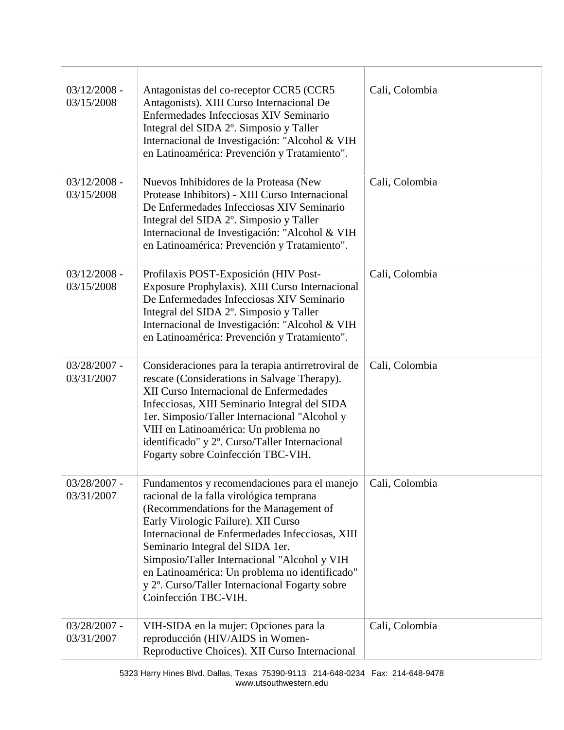| $03/12/2008 -$<br>03/15/2008 | Antagonistas del co-receptor CCR5 (CCR5<br>Antagonists). XIII Curso Internacional De<br>Enfermedades Infecciosas XIV Seminario<br>Integral del SIDA 2 <sup>°</sup> . Simposio y Taller<br>Internacional de Investigación: "Alcohol & VIH<br>en Latinoamérica: Prevención y Tratamiento".                                                                                                                                                     | Cali, Colombia |
|------------------------------|----------------------------------------------------------------------------------------------------------------------------------------------------------------------------------------------------------------------------------------------------------------------------------------------------------------------------------------------------------------------------------------------------------------------------------------------|----------------|
| $03/12/2008 -$<br>03/15/2008 | Nuevos Inhibidores de la Proteasa (New<br>Protease Inhibitors) - XIII Curso Internacional<br>De Enfermedades Infecciosas XIV Seminario<br>Integral del SIDA 2°. Simposio y Taller<br>Internacional de Investigación: "Alcohol & VIH<br>en Latinoamérica: Prevención y Tratamiento".                                                                                                                                                          | Cali, Colombia |
| $03/12/2008 -$<br>03/15/2008 | Profilaxis POST-Exposición (HIV Post-<br>Exposure Prophylaxis). XIII Curso Internacional<br>De Enfermedades Infecciosas XIV Seminario<br>Integral del SIDA 2°. Simposio y Taller<br>Internacional de Investigación: "Alcohol & VIH<br>en Latinoamérica: Prevención y Tratamiento".                                                                                                                                                           | Cali, Colombia |
| $03/28/2007$ -<br>03/31/2007 | Consideraciones para la terapia antirretroviral de<br>rescate (Considerations in Salvage Therapy).<br>XII Curso Internacional de Enfermedades<br>Infecciosas, XIII Seminario Integral del SIDA<br>1er. Simposio/Taller Internacional "Alcohol y<br>VIH en Latinoamérica: Un problema no<br>identificado" y 2º. Curso/Taller Internacional<br>Fogarty sobre Coinfección TBC-VIH.                                                              | Cali, Colombia |
| 03/28/2007 -<br>03/31/2007   | Fundamentos y recomendaciones para el manejo<br>racional de la falla virológica temprana<br>(Recommendations for the Management of<br>Early Virologic Failure). XII Curso<br>Internacional de Enfermedades Infecciosas, XIII<br>Seminario Integral del SIDA 1er.<br>Simposio/Taller Internacional "Alcohol y VIH<br>en Latinoamérica: Un problema no identificado"<br>y 2°. Curso/Taller Internacional Fogarty sobre<br>Coinfección TBC-VIH. | Cali, Colombia |
| $03/28/2007$ -<br>03/31/2007 | VIH-SIDA en la mujer: Opciones para la<br>reproducción (HIV/AIDS in Women-<br>Reproductive Choices). XII Curso Internacional                                                                                                                                                                                                                                                                                                                 | Cali, Colombia |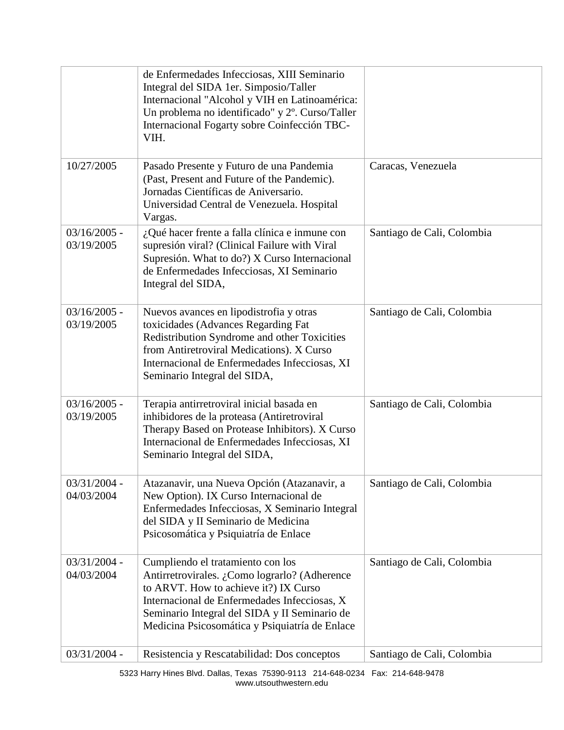| 10/27/2005                   | de Enfermedades Infecciosas, XIII Seminario<br>Integral del SIDA 1er. Simposio/Taller<br>Internacional "Alcohol y VIH en Latinoamérica:<br>Un problema no identificado" y 2°. Curso/Taller<br>Internacional Fogarty sobre Coinfección TBC-<br>VIH.<br>Pasado Presente y Futuro de una Pandemia | Caracas, Venezuela         |
|------------------------------|------------------------------------------------------------------------------------------------------------------------------------------------------------------------------------------------------------------------------------------------------------------------------------------------|----------------------------|
|                              | (Past, Present and Future of the Pandemic).<br>Jornadas Científicas de Aniversario.<br>Universidad Central de Venezuela. Hospital<br>Vargas.                                                                                                                                                   |                            |
| $03/16/2005$ -<br>03/19/2005 | $i$ Qué hacer frente a falla clínica e inmune con<br>supresión viral? (Clinical Failure with Viral<br>Supresión. What to do?) X Curso Internacional<br>de Enfermedades Infecciosas, XI Seminario<br>Integral del SIDA,                                                                         | Santiago de Cali, Colombia |
| $03/16/2005$ -<br>03/19/2005 | Nuevos avances en lipodistrofia y otras<br>toxicidades (Advances Regarding Fat<br>Redistribution Syndrome and other Toxicities<br>from Antiretroviral Medications). X Curso<br>Internacional de Enfermedades Infecciosas, XI<br>Seminario Integral del SIDA,                                   | Santiago de Cali, Colombia |
| $03/16/2005$ -<br>03/19/2005 | Terapia antirretroviral inicial basada en<br>inhibidores de la proteasa (Antiretroviral<br>Therapy Based on Protease Inhibitors). X Curso<br>Internacional de Enfermedades Infecciosas, XI<br>Seminario Integral del SIDA,                                                                     | Santiago de Cali, Colombia |
| $03/31/2004$ -<br>04/03/2004 | Atazanavir, una Nueva Opción (Atazanavir, a<br>New Option). IX Curso Internacional de<br>Enfermedades Infecciosas, X Seminario Integral<br>del SIDA y II Seminario de Medicina<br>Psicosomática y Psiquiatría de Enlace                                                                        | Santiago de Cali, Colombia |
| $03/31/2004$ -<br>04/03/2004 | Cumpliendo el tratamiento con los<br>Antirretrovirales. ¿Como lograrlo? (Adherence<br>to ARVT. How to achieve it?) IX Curso<br>Internacional de Enfermedades Infecciosas, X<br>Seminario Integral del SIDA y II Seminario de<br>Medicina Psicosomática y Psiquiatría de Enlace                 | Santiago de Cali, Colombia |
| $03/31/2004$ -               | Resistencia y Rescatabilidad: Dos conceptos                                                                                                                                                                                                                                                    | Santiago de Cali, Colombia |

5323 Harry Hines Blvd. Dallas, Texas 75390-9113 214-648-0234 Fax: 214-648-9478 www.utsouthwestern.edu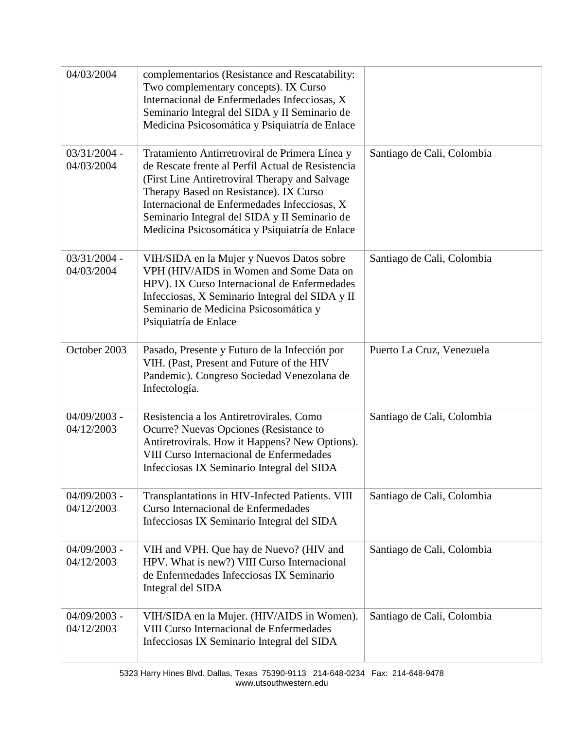| 04/03/2004                   | complementarios (Resistance and Rescatability:<br>Two complementary concepts). IX Curso<br>Internacional de Enfermedades Infecciosas, X<br>Seminario Integral del SIDA y II Seminario de<br>Medicina Psicosomática y Psiquiatría de Enlace                                                                                                         |                            |
|------------------------------|----------------------------------------------------------------------------------------------------------------------------------------------------------------------------------------------------------------------------------------------------------------------------------------------------------------------------------------------------|----------------------------|
| $03/31/2004 -$<br>04/03/2004 | Tratamiento Antirretroviral de Primera Línea y<br>de Rescate frente al Perfil Actual de Resistencia<br>(First Line Antiretroviral Therapy and Salvage<br>Therapy Based on Resistance). IX Curso<br>Internacional de Enfermedades Infecciosas, X<br>Seminario Integral del SIDA y II Seminario de<br>Medicina Psicosomática y Psiquiatría de Enlace | Santiago de Cali, Colombia |
| $03/31/2004 -$<br>04/03/2004 | VIH/SIDA en la Mujer y Nuevos Datos sobre<br>VPH (HIV/AIDS in Women and Some Data on<br>HPV). IX Curso Internacional de Enfermedades<br>Infecciosas, X Seminario Integral del SIDA y II<br>Seminario de Medicina Psicosomática y<br>Psiquiatría de Enlace                                                                                          | Santiago de Cali, Colombia |
| October 2003                 | Pasado, Presente y Futuro de la Infección por<br>VIH. (Past, Present and Future of the HIV<br>Pandemic). Congreso Sociedad Venezolana de<br>Infectología.                                                                                                                                                                                          | Puerto La Cruz, Venezuela  |
| $04/09/2003$ -<br>04/12/2003 | Resistencia a los Antiretrovirales. Como<br>Ocurre? Nuevas Opciones (Resistance to<br>Antiretrovirals. How it Happens? New Options).<br>VIII Curso Internacional de Enfermedades<br>Infecciosas IX Seminario Integral del SIDA                                                                                                                     | Santiago de Cali, Colombia |
| $04/09/2003$ -<br>04/12/2003 | Transplantations in HIV-Infected Patients. VIII<br>Curso Internacional de Enfermedades<br>Infecciosas IX Seminario Integral del SIDA                                                                                                                                                                                                               | Santiago de Cali, Colombia |
| $04/09/2003$ -<br>04/12/2003 | VIH and VPH. Que hay de Nuevo? (HIV and<br>HPV. What is new?) VIII Curso Internacional<br>de Enfermedades Infecciosas IX Seminario<br>Integral del SIDA                                                                                                                                                                                            | Santiago de Cali, Colombia |
| $04/09/2003$ -<br>04/12/2003 | VIH/SIDA en la Mujer. (HIV/AIDS in Women).<br>VIII Curso Internacional de Enfermedades<br>Infecciosas IX Seminario Integral del SIDA                                                                                                                                                                                                               | Santiago de Cali, Colombia |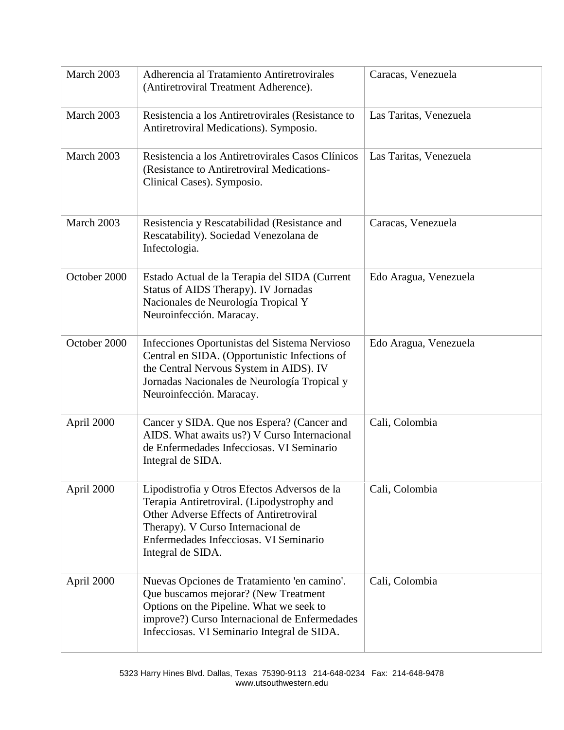| March 2003   | Adherencia al Tratamiento Antiretrovirales<br>(Antiretroviral Treatment Adherence).                                                                                                                                                        | Caracas, Venezuela     |
|--------------|--------------------------------------------------------------------------------------------------------------------------------------------------------------------------------------------------------------------------------------------|------------------------|
| March 2003   | Resistencia a los Antiretrovirales (Resistance to<br>Antiretroviral Medications). Symposio.                                                                                                                                                | Las Taritas, Venezuela |
| March 2003   | Resistencia a los Antiretrovirales Casos Clínicos<br>(Resistance to Antiretroviral Medications-<br>Clinical Cases). Symposio.                                                                                                              | Las Taritas, Venezuela |
| March 2003   | Resistencia y Rescatabilidad (Resistance and<br>Rescatability). Sociedad Venezolana de<br>Infectologia.                                                                                                                                    | Caracas, Venezuela     |
| October 2000 | Estado Actual de la Terapia del SIDA (Current<br>Status of AIDS Therapy). IV Jornadas<br>Nacionales de Neurología Tropical Y<br>Neuroinfección. Maracay.                                                                                   | Edo Aragua, Venezuela  |
| October 2000 | Infecciones Oportunistas del Sistema Nervioso<br>Central en SIDA. (Opportunistic Infections of<br>the Central Nervous System in AIDS). IV<br>Jornadas Nacionales de Neurología Tropical y<br>Neuroinfección. Maracay.                      | Edo Aragua, Venezuela  |
| April 2000   | Cancer y SIDA. Que nos Espera? (Cancer and<br>AIDS. What awaits us?) V Curso Internacional<br>de Enfermedades Infecciosas. VI Seminario<br>Integral de SIDA.                                                                               | Cali, Colombia         |
| April 2000   | Lipodistrofia y Otros Efectos Adversos de la<br>Terapia Antiretroviral. (Lipodystrophy and<br>Other Adverse Effects of Antiretroviral<br>Therapy). V Curso Internacional de<br>Enfermedades Infecciosas. VI Seminario<br>Integral de SIDA. | Cali, Colombia         |
| April 2000   | Nuevas Opciones de Tratamiento 'en camino'.<br>Que buscamos mejorar? (New Treatment<br>Options on the Pipeline. What we seek to<br>improve?) Curso Internacional de Enfermedades<br>Infecciosas. VI Seminario Integral de SIDA.            | Cali, Colombia         |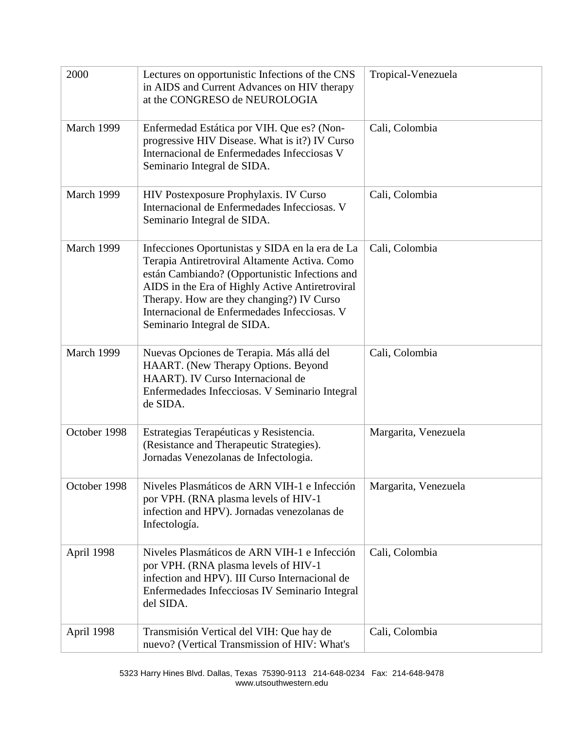| 2000         | Lectures on opportunistic Infections of the CNS<br>in AIDS and Current Advances on HIV therapy<br>at the CONGRESO de NEUROLOGIA                                                                                                                                                                                                   | Tropical-Venezuela   |
|--------------|-----------------------------------------------------------------------------------------------------------------------------------------------------------------------------------------------------------------------------------------------------------------------------------------------------------------------------------|----------------------|
| March 1999   | Enfermedad Estática por VIH. Que es? (Non-<br>progressive HIV Disease. What is it?) IV Curso<br>Internacional de Enfermedades Infecciosas V<br>Seminario Integral de SIDA.                                                                                                                                                        | Cali, Colombia       |
| March 1999   | HIV Postexposure Prophylaxis. IV Curso<br>Internacional de Enfermedades Infecciosas. V<br>Seminario Integral de SIDA.                                                                                                                                                                                                             | Cali, Colombia       |
| March 1999   | Infecciones Oportunistas y SIDA en la era de La<br>Terapia Antiretroviral Altamente Activa. Como<br>están Cambiando? (Opportunistic Infections and<br>AIDS in the Era of Highly Active Antiretroviral<br>Therapy. How are they changing?) IV Curso<br>Internacional de Enfermedades Infecciosas. V<br>Seminario Integral de SIDA. | Cali, Colombia       |
| March 1999   | Nuevas Opciones de Terapia. Más allá del<br>HAART. (New Therapy Options. Beyond<br>HAART). IV Curso Internacional de<br>Enfermedades Infecciosas. V Seminario Integral<br>de SIDA.                                                                                                                                                | Cali, Colombia       |
| October 1998 | Estrategias Terapéuticas y Resistencia.<br>(Resistance and Therapeutic Strategies).<br>Jornadas Venezolanas de Infectologia.                                                                                                                                                                                                      | Margarita, Venezuela |
| October 1998 | Niveles Plasmáticos de ARN VIH-1 e Infección<br>por VPH. (RNA plasma levels of HIV-1<br>infection and HPV). Jornadas venezolanas de<br>Infectología.                                                                                                                                                                              | Margarita, Venezuela |
| April 1998   | Niveles Plasmáticos de ARN VIH-1 e Infección<br>por VPH. (RNA plasma levels of HIV-1<br>infection and HPV). III Curso Internacional de<br>Enfermedades Infecciosas IV Seminario Integral<br>del SIDA.                                                                                                                             | Cali, Colombia       |
| April 1998   | Transmisión Vertical del VIH: Que hay de<br>nuevo? (Vertical Transmission of HIV: What's                                                                                                                                                                                                                                          | Cali, Colombia       |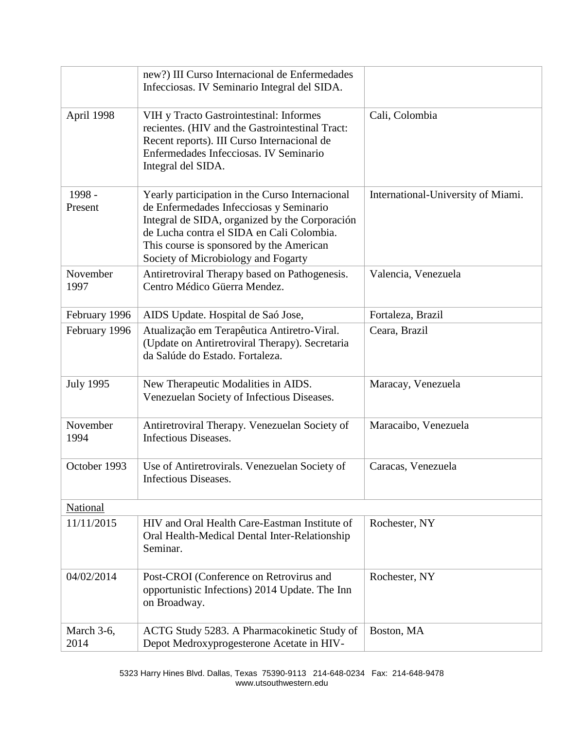|                    | new?) III Curso Internacional de Enfermedades<br>Infecciosas. IV Seminario Integral del SIDA.                                                                                                                                                                                |                                    |
|--------------------|------------------------------------------------------------------------------------------------------------------------------------------------------------------------------------------------------------------------------------------------------------------------------|------------------------------------|
| April 1998         | VIH y Tracto Gastrointestinal: Informes<br>recientes. (HIV and the Gastrointestinal Tract:<br>Recent reports). III Curso Internacional de<br>Enfermedades Infecciosas. IV Seminario<br>Integral del SIDA.                                                                    | Cali, Colombia                     |
| 1998 -<br>Present  | Yearly participation in the Curso Internacional<br>de Enfermedades Infecciosas y Seminario<br>Integral de SIDA, organized by the Corporación<br>de Lucha contra el SIDA en Cali Colombia.<br>This course is sponsored by the American<br>Society of Microbiology and Fogarty | International-University of Miami. |
| November<br>1997   | Antiretroviral Therapy based on Pathogenesis.<br>Centro Médico Güerra Mendez.                                                                                                                                                                                                | Valencia, Venezuela                |
| February 1996      | AIDS Update. Hospital de Saó Jose,                                                                                                                                                                                                                                           | Fortaleza, Brazil                  |
| February 1996      | Atualização em Terapêutica Antiretro-Viral.<br>(Update on Antiretroviral Therapy). Secretaria<br>da Salúde do Estado. Fortaleza.                                                                                                                                             | Ceara, Brazil                      |
| <b>July 1995</b>   | New Therapeutic Modalities in AIDS.<br>Venezuelan Society of Infectious Diseases.                                                                                                                                                                                            | Maracay, Venezuela                 |
| November<br>1994   | Antiretroviral Therapy. Venezuelan Society of<br>Infectious Diseases.                                                                                                                                                                                                        | Maracaibo, Venezuela               |
| October 1993       | Use of Antiretrovirals. Venezuelan Society of<br>Infectious Diseases.                                                                                                                                                                                                        | Caracas, Venezuela                 |
| National           |                                                                                                                                                                                                                                                                              |                                    |
| 11/11/2015         | HIV and Oral Health Care-Eastman Institute of<br>Oral Health-Medical Dental Inter-Relationship<br>Seminar.                                                                                                                                                                   | Rochester, NY                      |
| 04/02/2014         | Post-CROI (Conference on Retrovirus and<br>opportunistic Infections) 2014 Update. The Inn<br>on Broadway.                                                                                                                                                                    | Rochester, NY                      |
| March 3-6,<br>2014 | ACTG Study 5283. A Pharmacokinetic Study of<br>Depot Medroxyprogesterone Acetate in HIV-                                                                                                                                                                                     | Boston, MA                         |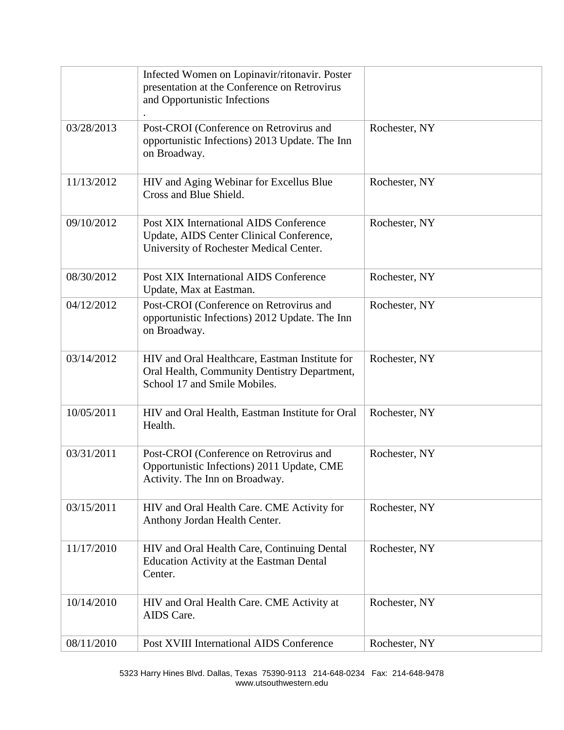|            | Infected Women on Lopinavir/ritonavir. Poster<br>presentation at the Conference on Retrovirus<br>and Opportunistic Infections  |               |
|------------|--------------------------------------------------------------------------------------------------------------------------------|---------------|
| 03/28/2013 | Post-CROI (Conference on Retrovirus and<br>opportunistic Infections) 2013 Update. The Inn<br>on Broadway.                      | Rochester, NY |
| 11/13/2012 | HIV and Aging Webinar for Excellus Blue<br>Cross and Blue Shield.                                                              | Rochester, NY |
| 09/10/2012 | Post XIX International AIDS Conference<br>Update, AIDS Center Clinical Conference,<br>University of Rochester Medical Center.  | Rochester, NY |
| 08/30/2012 | Post XIX International AIDS Conference<br>Update, Max at Eastman.                                                              | Rochester, NY |
| 04/12/2012 | Post-CROI (Conference on Retrovirus and<br>opportunistic Infections) 2012 Update. The Inn<br>on Broadway.                      | Rochester, NY |
| 03/14/2012 | HIV and Oral Healthcare, Eastman Institute for<br>Oral Health, Community Dentistry Department,<br>School 17 and Smile Mobiles. | Rochester, NY |
| 10/05/2011 | HIV and Oral Health, Eastman Institute for Oral<br>Health.                                                                     | Rochester, NY |
| 03/31/2011 | Post-CROI (Conference on Retrovirus and<br>Opportunistic Infections) 2011 Update, CME<br>Activity. The Inn on Broadway.        | Rochester, NY |
| 03/15/2011 | HIV and Oral Health Care. CME Activity for<br>Anthony Jordan Health Center.                                                    | Rochester, NY |
| 11/17/2010 | HIV and Oral Health Care, Continuing Dental<br><b>Education Activity at the Eastman Dental</b><br>Center.                      | Rochester, NY |
| 10/14/2010 | HIV and Oral Health Care. CME Activity at<br>AIDS Care.                                                                        | Rochester, NY |
| 08/11/2010 | Post XVIII International AIDS Conference                                                                                       | Rochester, NY |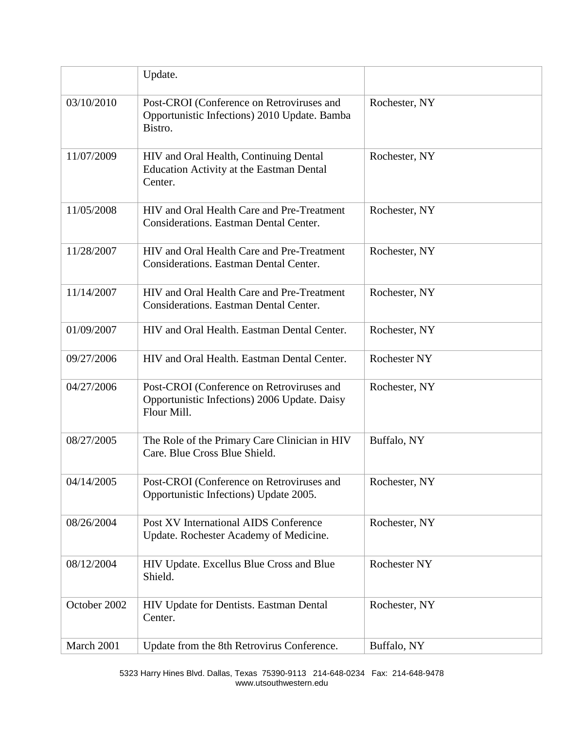|              | Update.                                                                                                  |                     |
|--------------|----------------------------------------------------------------------------------------------------------|---------------------|
| 03/10/2010   | Post-CROI (Conference on Retroviruses and<br>Opportunistic Infections) 2010 Update. Bamba<br>Bistro.     | Rochester, NY       |
| 11/07/2009   | HIV and Oral Health, Continuing Dental<br><b>Education Activity at the Eastman Dental</b><br>Center.     | Rochester, NY       |
| 11/05/2008   | HIV and Oral Health Care and Pre-Treatment<br><b>Considerations. Eastman Dental Center.</b>              | Rochester, NY       |
| 11/28/2007   | HIV and Oral Health Care and Pre-Treatment<br><b>Considerations. Eastman Dental Center.</b>              | Rochester, NY       |
| 11/14/2007   | HIV and Oral Health Care and Pre-Treatment<br><b>Considerations. Eastman Dental Center.</b>              | Rochester, NY       |
| 01/09/2007   | HIV and Oral Health. Eastman Dental Center.                                                              | Rochester, NY       |
| 09/27/2006   | HIV and Oral Health. Eastman Dental Center.                                                              | <b>Rochester NY</b> |
| 04/27/2006   | Post-CROI (Conference on Retroviruses and<br>Opportunistic Infections) 2006 Update. Daisy<br>Flour Mill. | Rochester, NY       |
| 08/27/2005   | The Role of the Primary Care Clinician in HIV<br>Care. Blue Cross Blue Shield.                           | Buffalo, NY         |
| 04/14/2005   | Post-CROI (Conference on Retroviruses and<br>Opportunistic Infections) Update 2005.                      | Rochester, NY       |
| 08/26/2004   | Post XV International AIDS Conference<br>Update. Rochester Academy of Medicine.                          | Rochester, NY       |
| 08/12/2004   | HIV Update. Excellus Blue Cross and Blue<br>Shield.                                                      | <b>Rochester NY</b> |
| October 2002 | HIV Update for Dentists. Eastman Dental<br>Center.                                                       | Rochester, NY       |
| March 2001   | Update from the 8th Retrovirus Conference.                                                               | Buffalo, NY         |

5323 Harry Hines Blvd. Dallas, Texas 75390-9113 214-648-0234 Fax: 214-648-9478 www.utsouthwestern.edu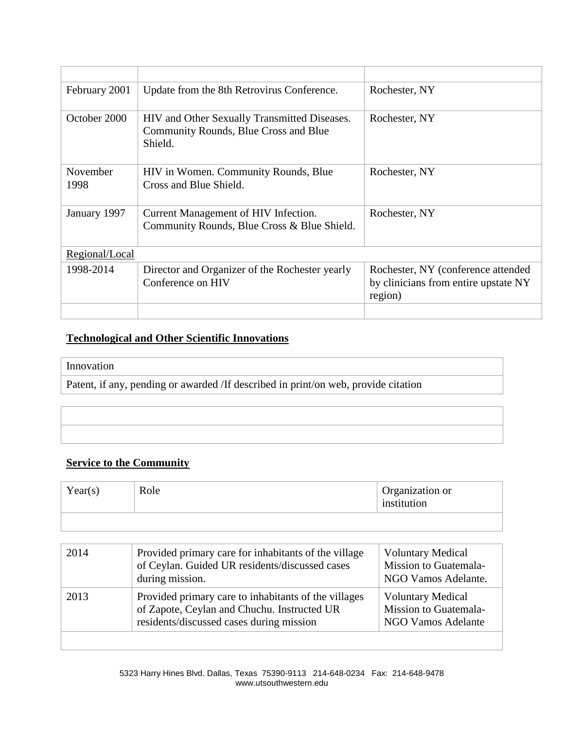| February 2001         | Update from the 8th Retrovirus Conference.                                                       | Rochester, NY                                                                         |
|-----------------------|--------------------------------------------------------------------------------------------------|---------------------------------------------------------------------------------------|
| October 2000          | HIV and Other Sexually Transmitted Diseases.<br>Community Rounds, Blue Cross and Blue<br>Shield. | Rochester, NY                                                                         |
| November<br>1998      | HIV in Women. Community Rounds, Blue<br>Cross and Blue Shield.                                   | Rochester, NY                                                                         |
| January 1997          | Current Management of HIV Infection.<br>Community Rounds, Blue Cross & Blue Shield.              | Rochester, NY                                                                         |
| <u>Regional/Local</u> |                                                                                                  |                                                                                       |
| 1998-2014             | Director and Organizer of the Rochester yearly<br>Conference on HIV                              | Rochester, NY (conference attended<br>by clinicians from entire upstate NY<br>region) |
|                       |                                                                                                  |                                                                                       |

# **Technological and Other Scientific Innovations**

#### Innovation

Patent, if any, pending or awarded /If described in print/on web, provide citation

# **Service to the Community**

| Year(s) | Role | Organization or<br>institution |
|---------|------|--------------------------------|
|         |      |                                |

| 2014 | Provided primary care for inhabitants of the village<br>of Ceylan. Guided UR residents/discussed cases<br>during mission.                       | <b>Voluntary Medical</b><br>Mission to Guatemala-<br>NGO Vamos Adelante.       |
|------|-------------------------------------------------------------------------------------------------------------------------------------------------|--------------------------------------------------------------------------------|
| 2013 | Provided primary care to inhabitants of the villages<br>of Zapote, Ceylan and Chuchu. Instructed UR<br>residents/discussed cases during mission | <b>Voluntary Medical</b><br>Mission to Guatemala-<br><b>NGO Vamos Adelante</b> |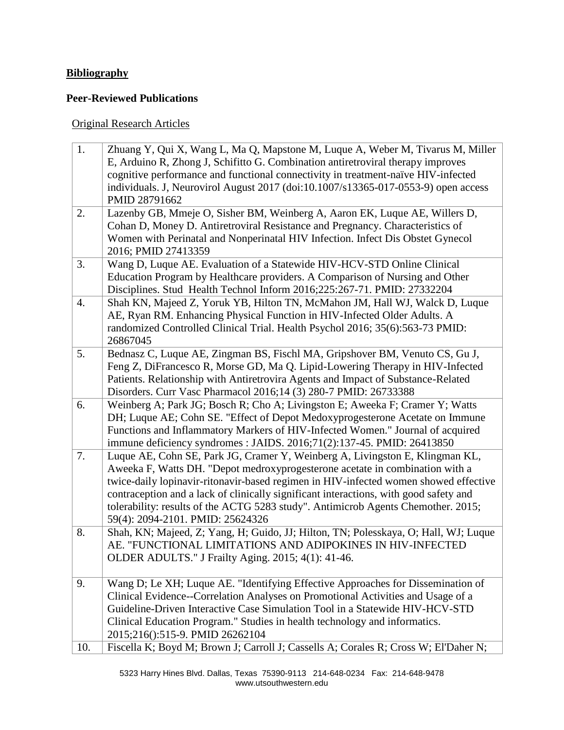# **Bibliography**

### **Peer-Reviewed Publications**

# Original Research Articles

| 1.  | Zhuang Y, Qui X, Wang L, Ma Q, Mapstone M, Luque A, Weber M, Tivarus M, Miller<br>E, Arduino R, Zhong J, Schifitto G. Combination antiretroviral therapy improves<br>cognitive performance and functional connectivity in treatment-naïve HIV-infected<br>individuals. J, Neurovirol August 2017 (doi:10.1007/s13365-017-0553-9) open access<br>PMID 28791662                                                                                                          |
|-----|------------------------------------------------------------------------------------------------------------------------------------------------------------------------------------------------------------------------------------------------------------------------------------------------------------------------------------------------------------------------------------------------------------------------------------------------------------------------|
| 2.  | Lazenby GB, Mmeje O, Sisher BM, Weinberg A, Aaron EK, Luque AE, Willers D,<br>Cohan D, Money D. Antiretroviral Resistance and Pregnancy. Characteristics of<br>Women with Perinatal and Nonperinatal HIV Infection. Infect Dis Obstet Gynecol<br>2016; PMID 27413359                                                                                                                                                                                                   |
| 3.  | Wang D, Luque AE. Evaluation of a Statewide HIV-HCV-STD Online Clinical<br>Education Program by Healthcare providers. A Comparison of Nursing and Other<br>Disciplines. Stud Health Technol Inform 2016;225:267-71. PMID: 27332204                                                                                                                                                                                                                                     |
| 4.  | Shah KN, Majeed Z, Yoruk YB, Hilton TN, McMahon JM, Hall WJ, Walck D, Luque<br>AE, Ryan RM. Enhancing Physical Function in HIV-Infected Older Adults. A<br>randomized Controlled Clinical Trial. Health Psychol 2016; 35(6):563-73 PMID:<br>26867045                                                                                                                                                                                                                   |
| 5.  | Bednasz C, Luque AE, Zingman BS, Fischl MA, Gripshover BM, Venuto CS, Gu J,<br>Feng Z, DiFrancesco R, Morse GD, Ma Q. Lipid-Lowering Therapy in HIV-Infected<br>Patients. Relationship with Antiretrovira Agents and Impact of Substance-Related<br>Disorders. Curr Vasc Pharmacol 2016;14 (3) 280-7 PMID: 26733388                                                                                                                                                    |
| 6.  | Weinberg A; Park JG; Bosch R; Cho A; Livingston E; Aweeka F; Cramer Y; Watts<br>DH; Luque AE; Cohn SE. "Effect of Depot Medoxyprogesterone Acetate on Immune<br>Functions and Inflammatory Markers of HIV-Infected Women." Journal of acquired<br>immune deficiency syndromes : JAIDS. 2016;71(2):137-45. PMID: 26413850                                                                                                                                               |
| 7.  | Luque AE, Cohn SE, Park JG, Cramer Y, Weinberg A, Livingston E, Klingman KL,<br>Aweeka F, Watts DH. "Depot medroxyprogesterone acetate in combination with a<br>twice-daily lopinavir-ritonavir-based regimen in HIV-infected women showed effective<br>contraception and a lack of clinically significant interactions, with good safety and<br>tolerability: results of the ACTG 5283 study". Antimicrob Agents Chemother. 2015;<br>59(4): 2094-2101. PMID: 25624326 |
| 8.  | Shah, KN; Majeed, Z; Yang, H; Guido, JJ; Hilton, TN; Polesskaya, O; Hall, WJ; Luque<br>AE. "FUNCTIONAL LIMITATIONS AND ADIPOKINES IN HIV-INFECTED<br>OLDER ADULTS." J Frailty Aging. 2015; 4(1): 41-46.                                                                                                                                                                                                                                                                |
| 9.  | Wang D; Le XH; Luque AE. "Identifying Effective Approaches for Dissemination of<br>Clinical Evidence--Correlation Analyses on Promotional Activities and Usage of a<br>Guideline-Driven Interactive Case Simulation Tool in a Statewide HIV-HCV-STD<br>Clinical Education Program." Studies in health technology and informatics.<br>2015;216():515-9. PMID 26262104                                                                                                   |
| 10. | Fiscella K; Boyd M; Brown J; Carroll J; Cassells A; Corales R; Cross W; El'Daher N;                                                                                                                                                                                                                                                                                                                                                                                    |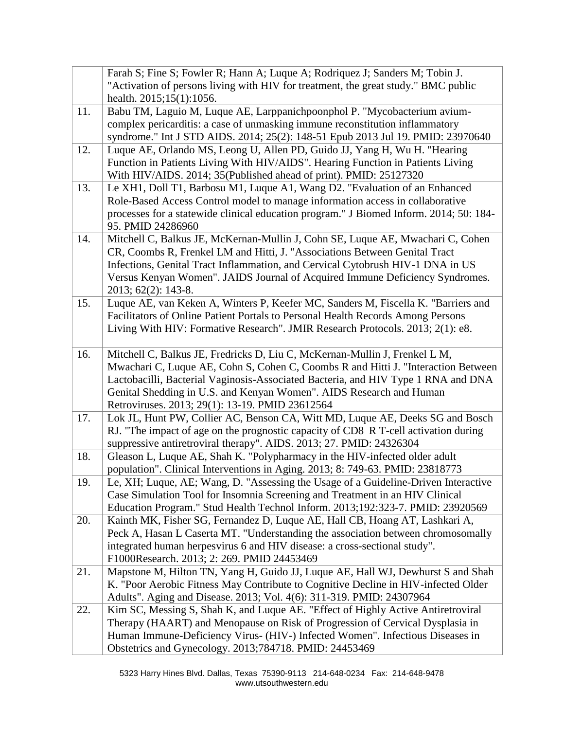|     | Farah S; Fine S; Fowler R; Hann A; Luque A; Rodriquez J; Sanders M; Tobin J.           |
|-----|----------------------------------------------------------------------------------------|
|     | "Activation of persons living with HIV for treatment, the great study." BMC public     |
|     | health. 2015;15(1):1056.                                                               |
| 11. | Babu TM, Laguio M, Luque AE, Larppanichpoonphol P. "Mycobacterium avium-               |
|     | complex pericarditis: a case of unmasking immune reconstitution inflammatory           |
|     | syndrome." Int J STD AIDS. 2014; 25(2): 148-51 Epub 2013 Jul 19. PMID: 23970640        |
| 12. | Luque AE, Orlando MS, Leong U, Allen PD, Guido JJ, Yang H, Wu H. "Hearing              |
|     | Function in Patients Living With HIV/AIDS". Hearing Function in Patients Living        |
|     | With HIV/AIDS. 2014; 35(Published ahead of print). PMID: 25127320                      |
| 13. | Le XH1, Doll T1, Barbosu M1, Luque A1, Wang D2. "Evaluation of an Enhanced             |
|     | Role-Based Access Control model to manage information access in collaborative          |
|     | processes for a statewide clinical education program." J Biomed Inform. 2014; 50: 184- |
|     | 95. PMID 24286960                                                                      |
| 14. | Mitchell C, Balkus JE, McKernan-Mullin J, Cohn SE, Luque AE, Mwachari C, Cohen         |
|     | CR, Coombs R, Frenkel LM and Hitti, J. "Associations Between Genital Tract             |
|     | Infections, Genital Tract Inflammation, and Cervical Cytobrush HIV-1 DNA in US         |
|     | Versus Kenyan Women". JAIDS Journal of Acquired Immune Deficiency Syndromes.           |
|     | 2013; 62(2): 143-8.                                                                    |
| 15. | Luque AE, van Keken A, Winters P, Keefer MC, Sanders M, Fiscella K. "Barriers and      |
|     | Facilitators of Online Patient Portals to Personal Health Records Among Persons        |
|     | Living With HIV: Formative Research". JMIR Research Protocols. 2013; 2(1): e8.         |
| 16. | Mitchell C, Balkus JE, Fredricks D, Liu C, McKernan-Mullin J, Frenkel L M,             |
|     | Mwachari C, Luque AE, Cohn S, Cohen C, Coombs R and Hitti J. "Interaction Between      |
|     | Lactobacilli, Bacterial Vaginosis-Associated Bacteria, and HIV Type 1 RNA and DNA      |
|     | Genital Shedding in U.S. and Kenyan Women". AIDS Research and Human                    |
|     | Retroviruses. 2013; 29(1): 13-19. PMID 23612564                                        |
| 17. | Lok JL, Hunt PW, Collier AC, Benson CA, Witt MD, Luque AE, Deeks SG and Bosch          |
|     | RJ. "The impact of age on the prognostic capacity of CD8 R T-cell activation during    |
|     | suppressive antiretroviral therapy". AIDS. 2013; 27. PMID: 24326304                    |
| 18. | Gleason L, Luque AE, Shah K. "Polypharmacy in the HIV-infected older adult             |
|     | population". Clinical Interventions in Aging. 2013; 8: 749-63. PMID: 23818773          |
| 19. | Le, XH; Luque, AE; Wang, D. "Assessing the Usage of a Guideline-Driven Interactive     |
|     | Case Simulation Tool for Insomnia Screening and Treatment in an HIV Clinical           |
|     | Education Program." Stud Health Technol Inform. 2013;192:323-7. PMID: 23920569         |
| 20. | Kainth MK, Fisher SG, Fernandez D, Luque AE, Hall CB, Hoang AT, Lashkari A,            |
|     | Peck A, Hasan L Caserta MT. "Understanding the association between chromosomally       |
|     | integrated human herpesvirus 6 and HIV disease: a cross-sectional study".              |
|     | F1000Research. 2013; 2: 269. PMID 24453469                                             |
| 21. | Mapstone M, Hilton TN, Yang H, Guido JJ, Luque AE, Hall WJ, Dewhurst S and Shah        |
|     | K. "Poor Aerobic Fitness May Contribute to Cognitive Decline in HIV-infected Older     |
|     | Adults". Aging and Disease. 2013; Vol. 4(6): 311-319. PMID: 24307964                   |
| 22. | Kim SC, Messing S, Shah K, and Luque AE. "Effect of Highly Active Antiretroviral       |
|     | Therapy (HAART) and Menopause on Risk of Progression of Cervical Dysplasia in          |
|     | Human Immune-Deficiency Virus- (HIV-) Infected Women". Infectious Diseases in          |
|     | Obstetrics and Gynecology. 2013;784718. PMID: 24453469                                 |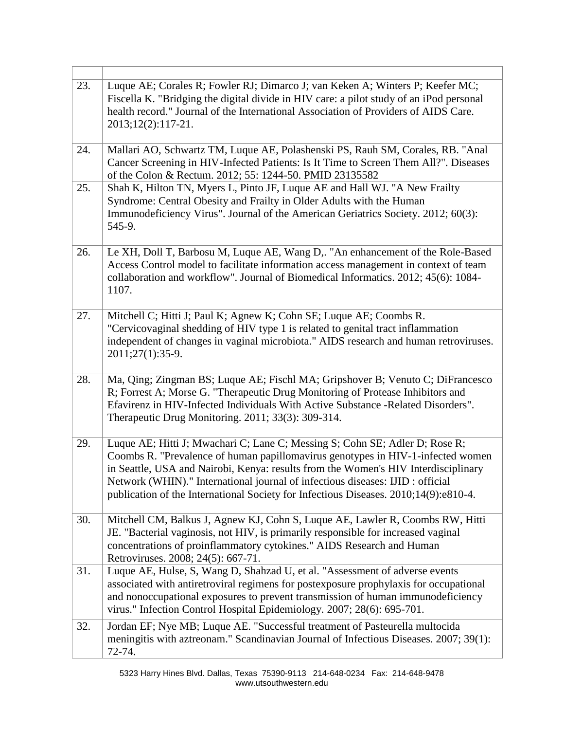| 23.        | Luque AE; Corales R; Fowler RJ; Dimarco J; van Keken A; Winters P; Keefer MC;<br>Fiscella K. "Bridging the digital divide in HIV care: a pilot study of an iPod personal<br>health record." Journal of the International Association of Providers of AIDS Care.<br>$2013;12(2):117-21.$                                                                                                                                                                                      |
|------------|------------------------------------------------------------------------------------------------------------------------------------------------------------------------------------------------------------------------------------------------------------------------------------------------------------------------------------------------------------------------------------------------------------------------------------------------------------------------------|
| 24.<br>25. | Mallari AO, Schwartz TM, Luque AE, Polashenski PS, Rauh SM, Corales, RB. "Anal<br>Cancer Screening in HIV-Infected Patients: Is It Time to Screen Them All?". Diseases<br>of the Colon & Rectum. 2012; 55: 1244-50. PMID 23135582<br>Shah K, Hilton TN, Myers L, Pinto JF, Luque AE and Hall WJ. "A New Frailty<br>Syndrome: Central Obesity and Frailty in Older Adults with the Human<br>Immunodeficiency Virus". Journal of the American Geriatrics Society. 2012; 60(3): |
| 26.        | 545-9.<br>Le XH, Doll T, Barbosu M, Luque AE, Wang D,. "An enhancement of the Role-Based<br>Access Control model to facilitate information access management in context of team<br>collaboration and workflow". Journal of Biomedical Informatics. 2012; 45(6): 1084-<br>1107.                                                                                                                                                                                               |
| 27.        | Mitchell C; Hitti J; Paul K; Agnew K; Cohn SE; Luque AE; Coombs R.<br>"Cervicovaginal shedding of HIV type 1 is related to genital tract inflammation<br>independent of changes in vaginal microbiota." AIDS research and human retroviruses.<br>2011;27(1):35-9.                                                                                                                                                                                                            |
| 28.        | Ma, Qing; Zingman BS; Luque AE; Fischl MA; Gripshover B; Venuto C; DiFrancesco<br>R; Forrest A; Morse G. "Therapeutic Drug Monitoring of Protease Inhibitors and<br>Efavirenz in HIV-Infected Individuals With Active Substance -Related Disorders".<br>Therapeutic Drug Monitoring. 2011; 33(3): 309-314.                                                                                                                                                                   |
| 29.        | Luque AE; Hitti J; Mwachari C; Lane C; Messing S; Cohn SE; Adler D; Rose R;<br>Coombs R. "Prevalence of human papillomavirus genotypes in HIV-1-infected women<br>in Seattle, USA and Nairobi, Kenya: results from the Women's HIV Interdisciplinary<br>Network (WHIN)." International journal of infectious diseases: IJID : official<br>publication of the International Society for Infectious Diseases. 2010;14(9):e810-4.                                               |
| 30.        | Mitchell CM, Balkus J, Agnew KJ, Cohn S, Luque AE, Lawler R, Coombs RW, Hitti<br>JE. "Bacterial vaginosis, not HIV, is primarily responsible for increased vaginal<br>concentrations of proinflammatory cytokines." AIDS Research and Human<br>Retroviruses. 2008; 24(5): 667-71.                                                                                                                                                                                            |
| 31.        | Luque AE, Hulse, S, Wang D, Shahzad U, et al. "Assessment of adverse events<br>associated with antiretroviral regimens for postexposure prophylaxis for occupational<br>and nonoccupational exposures to prevent transmission of human immunodeficiency<br>virus." Infection Control Hospital Epidemiology. 2007; 28(6): 695-701.                                                                                                                                            |
| 32.        | Jordan EF; Nye MB; Luque AE. "Successful treatment of Pasteurella multocida<br>meningitis with aztreonam." Scandinavian Journal of Infectious Diseases. 2007; 39(1):<br>72-74.                                                                                                                                                                                                                                                                                               |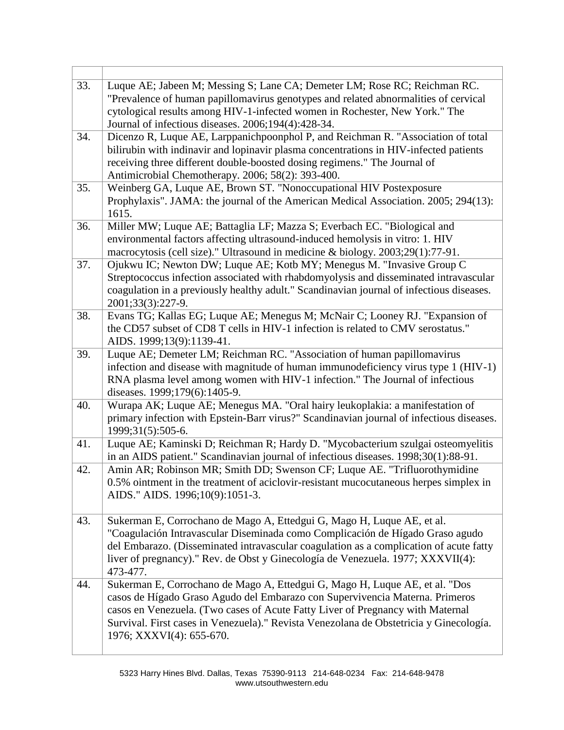| 33. | Luque AE; Jabeen M; Messing S; Lane CA; Demeter LM; Rose RC; Reichman RC.<br>"Prevalence of human papillomavirus genotypes and related abnormalities of cervical<br>cytological results among HIV-1-infected women in Rochester, New York." The<br>Journal of infectious diseases. 2006;194(4):428-34.                                                              |
|-----|---------------------------------------------------------------------------------------------------------------------------------------------------------------------------------------------------------------------------------------------------------------------------------------------------------------------------------------------------------------------|
| 34. | Dicenzo R, Luque AE, Larppanichpoonphol P, and Reichman R. "Association of total<br>bilirubin with indinavir and lopinavir plasma concentrations in HIV-infected patients<br>receiving three different double-boosted dosing regimens." The Journal of<br>Antimicrobial Chemotherapy. 2006; 58(2): 393-400.                                                         |
| 35. | Weinberg GA, Luque AE, Brown ST. "Nonoccupational HIV Postexposure<br>Prophylaxis". JAMA: the journal of the American Medical Association. 2005; 294(13):<br>1615.                                                                                                                                                                                                  |
| 36. | Miller MW; Luque AE; Battaglia LF; Mazza S; Everbach EC. "Biological and<br>environmental factors affecting ultrasound-induced hemolysis in vitro: 1. HIV<br>macrocytosis (cell size)." Ultrasound in medicine & biology. 2003;29(1):77-91.                                                                                                                         |
| 37. | Ojukwu IC; Newton DW; Luque AE; Kotb MY; Menegus M. "Invasive Group C<br>Streptococcus infection associated with rhabdomyolysis and disseminated intravascular<br>coagulation in a previously healthy adult." Scandinavian journal of infectious diseases.<br>2001;33(3):227-9.                                                                                     |
| 38. | Evans TG; Kallas EG; Luque AE; Menegus M; McNair C; Looney RJ. "Expansion of<br>the CD57 subset of CD8 T cells in HIV-1 infection is related to CMV serostatus."<br>AIDS. 1999;13(9):1139-41.                                                                                                                                                                       |
| 39. | Luque AE; Demeter LM; Reichman RC. "Association of human papillomavirus<br>infection and disease with magnitude of human immunodeficiency virus type 1 (HIV-1)<br>RNA plasma level among women with HIV-1 infection." The Journal of infectious<br>diseases. 1999;179(6):1405-9.                                                                                    |
| 40. | Wurapa AK; Luque AE; Menegus MA. "Oral hairy leukoplakia: a manifestation of<br>primary infection with Epstein-Barr virus?" Scandinavian journal of infectious diseases.<br>1999;31(5):505-6.                                                                                                                                                                       |
| 41. | Luque AE; Kaminski D; Reichman R; Hardy D. "Mycobacterium szulgai osteomyelitis<br>in an AIDS patient." Scandinavian journal of infectious diseases. 1998;30(1):88-91.                                                                                                                                                                                              |
| 42. | Amin AR; Robinson MR; Smith DD; Swenson CF; Luque AE. "Trifluorothymidine<br>0.5% ointment in the treatment of aciclovir-resistant mucocutaneous herpes simplex in<br>AIDS." AIDS. 1996;10(9):1051-3.                                                                                                                                                               |
| 43. | Sukerman E, Corrochano de Mago A, Ettedgui G, Mago H, Luque AE, et al.<br>"Coagulación Intravascular Diseminada como Complicación de Hígado Graso agudo<br>del Embarazo. (Disseminated intravascular coagulation as a complication of acute fatty<br>liver of pregnancy)." Rev. de Obst y Ginecología de Venezuela. 1977; XXXVII(4):<br>473-477.                    |
| 44. | Sukerman E, Corrochano de Mago A, Ettedgui G, Mago H, Luque AE, et al. "Dos<br>casos de Hígado Graso Agudo del Embarazo con Supervivencia Materna. Primeros<br>casos en Venezuela. (Two cases of Acute Fatty Liver of Pregnancy with Maternal<br>Survival. First cases in Venezuela)." Revista Venezolana de Obstetricia y Ginecología.<br>1976; XXXVI(4): 655-670. |

Ī.

 $\Gamma$ 

Τ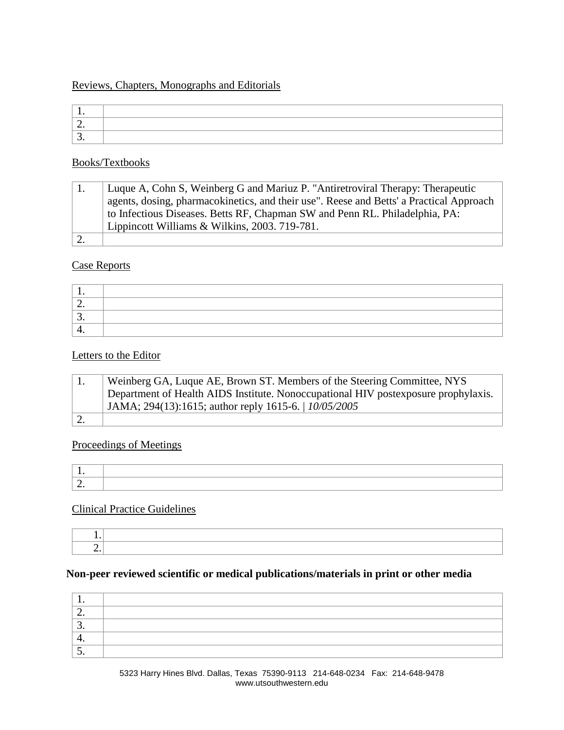### Reviews, Chapters, Monographs and Editorials

| <u>.</u> |  |
|----------|--|
| ັ        |  |

### Books/Textbooks

| Luque A, Cohn S, Weinberg G and Mariuz P. "Antiretroviral Therapy: Therapeutic          |
|-----------------------------------------------------------------------------------------|
| agents, dosing, pharmacokinetics, and their use". Reese and Betts' a Practical Approach |
| to Infectious Diseases. Betts RF, Chapman SW and Penn RL. Philadelphia, PA:             |
| Lippincott Williams & Wilkins, 2003. 719-781.                                           |
|                                                                                         |

### Case Reports

| --  |  |
|-----|--|
| ، ب |  |
|     |  |

### Letters to the Editor

| Weinberg GA, Luque AE, Brown ST. Members of the Steering Committee, NYS             |
|-------------------------------------------------------------------------------------|
| Department of Health AIDS Institute. Nonoccupational HIV postex posure prophylaxis. |
| JAMA; 294(13):1615; author reply 1615-6.   10/05/2005                               |
|                                                                                     |

### Proceedings of Meetings

# Clinical Practice Guidelines

### **Non-peer reviewed scientific or medical publications/materials in print or other media**

| <u>.</u> |  |
|----------|--|
| <u>.</u> |  |
| . .      |  |
| ັ        |  |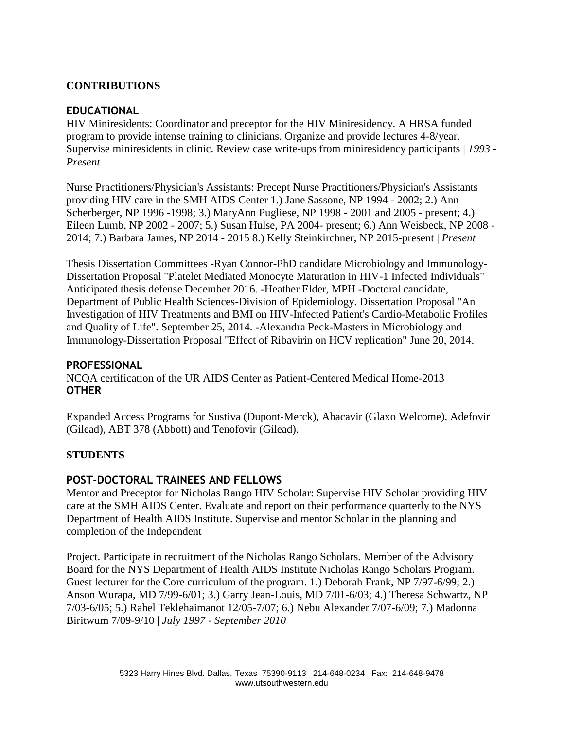### **CONTRIBUTIONS**

#### **EDUCATIONAL**

HIV Miniresidents: Coordinator and preceptor for the HIV Miniresidency. A HRSA funded program to provide intense training to clinicians. Organize and provide lectures 4-8/year. Supervise miniresidents in clinic. Review case write-ups from miniresidency participants | *1993 - Present* 

Nurse Practitioners/Physician's Assistants: Precept Nurse Practitioners/Physician's Assistants providing HIV care in the SMH AIDS Center 1.) Jane Sassone, NP 1994 - 2002; 2.) Ann Scherberger, NP 1996 -1998; 3.) MaryAnn Pugliese, NP 1998 - 2001 and 2005 - present; 4.) Eileen Lumb, NP 2002 - 2007; 5.) Susan Hulse, PA 2004- present; 6.) Ann Weisbeck, NP 2008 - 2014; 7.) Barbara James, NP 2014 - 2015 8.) Kelly Steinkirchner, NP 2015-present | *Present* 

Thesis Dissertation Committees -Ryan Connor-PhD candidate Microbiology and Immunology-Dissertation Proposal "Platelet Mediated Monocyte Maturation in HIV-1 Infected Individuals" Anticipated thesis defense December 2016. -Heather Elder, MPH -Doctoral candidate, Department of Public Health Sciences-Division of Epidemiology. Dissertation Proposal "An Investigation of HIV Treatments and BMI on HIV-Infected Patient's Cardio-Metabolic Profiles and Quality of Life". September 25, 2014. -Alexandra Peck-Masters in Microbiology and Immunology-Dissertation Proposal "Effect of Ribavirin on HCV replication" June 20, 2014.

#### **PROFESSIONAL**

NCQA certification of the UR AIDS Center as Patient-Centered Medical Home-2013 **OTHER** 

Expanded Access Programs for Sustiva (Dupont-Merck), Abacavir (Glaxo Welcome), Adefovir (Gilead), ABT 378 (Abbott) and Tenofovir (Gilead).

### **STUDENTS**

### **POST-DOCTORAL TRAINEES AND FELLOWS**

Mentor and Preceptor for Nicholas Rango HIV Scholar: Supervise HIV Scholar providing HIV care at the SMH AIDS Center. Evaluate and report on their performance quarterly to the NYS Department of Health AIDS Institute. Supervise and mentor Scholar in the planning and completion of the Independent

Project. Participate in recruitment of the Nicholas Rango Scholars. Member of the Advisory Board for the NYS Department of Health AIDS Institute Nicholas Rango Scholars Program. Guest lecturer for the Core curriculum of the program. 1.) Deborah Frank, NP 7/97-6/99; 2.) Anson Wurapa, MD 7/99-6/01; 3.) Garry Jean-Louis, MD 7/01-6/03; 4.) Theresa Schwartz, NP 7/03-6/05; 5.) Rahel Teklehaimanot 12/05-7/07; 6.) Nebu Alexander 7/07-6/09; 7.) Madonna Biritwum 7/09-9/10 | *July 1997 - September 2010*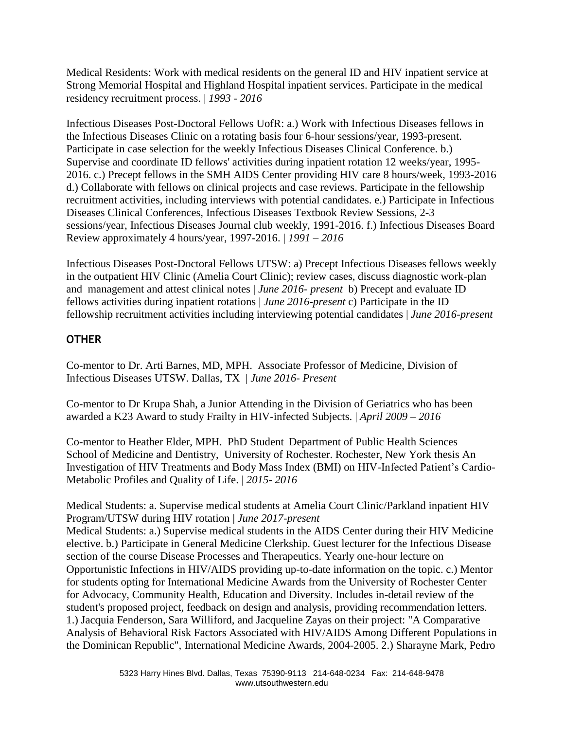Medical Residents: Work with medical residents on the general ID and HIV inpatient service at Strong Memorial Hospital and Highland Hospital inpatient services. Participate in the medical residency recruitment process. | *1993 - 2016*

Infectious Diseases Post-Doctoral Fellows UofR: a.) Work with Infectious Diseases fellows in the Infectious Diseases Clinic on a rotating basis four 6-hour sessions/year, 1993-present. Participate in case selection for the weekly Infectious Diseases Clinical Conference. b.) Supervise and coordinate ID fellows' activities during inpatient rotation 12 weeks/year, 1995- 2016. c.) Precept fellows in the SMH AIDS Center providing HIV care 8 hours/week, 1993-2016 d.) Collaborate with fellows on clinical projects and case reviews. Participate in the fellowship recruitment activities, including interviews with potential candidates. e.) Participate in Infectious Diseases Clinical Conferences, Infectious Diseases Textbook Review Sessions, 2-3 sessions/year, Infectious Diseases Journal club weekly, 1991-2016. f.) Infectious Diseases Board Review approximately 4 hours/year, 1997-2016. | *1991 – 2016*

Infectious Diseases Post-Doctoral Fellows UTSW: a) Precept Infectious Diseases fellows weekly in the outpatient HIV Clinic (Amelia Court Clinic); review cases, discuss diagnostic work-plan and management and attest clinical notes | *June 2016- present* b) Precept and evaluate ID fellows activities during inpatient rotations | *June 2016-present* c) Participate in the ID fellowship recruitment activities including interviewing potential candidates | *June 2016-present*

# **OTHER**

Co-mentor to Dr. Arti Barnes, MD, MPH. Associate Professor of Medicine, Division of Infectious Diseases UTSW. Dallas, TX | *June 2016- Present*

Co-mentor to Dr Krupa Shah, a Junior Attending in the Division of Geriatrics who has been awarded a K23 Award to study Frailty in HIV-infected Subjects. | *April 2009 – 2016*

Co-mentor to Heather Elder, MPH. PhD Student Department of Public Health Sciences School of Medicine and Dentistry, University of Rochester. Rochester, New York thesis An Investigation of HIV Treatments and Body Mass Index (BMI) on HIV-Infected Patient's Cardio-Metabolic Profiles and Quality of Life. | *2015- 2016*

Medical Students: a. Supervise medical students at Amelia Court Clinic/Parkland inpatient HIV Program/UTSW during HIV rotation | *June 2017-present* Medical Students: a.) Supervise medical students in the AIDS Center during their HIV Medicine elective. b.) Participate in General Medicine Clerkship. Guest lecturer for the Infectious Disease section of the course Disease Processes and Therapeutics. Yearly one-hour lecture on Opportunistic Infections in HIV/AIDS providing up-to-date information on the topic. c.) Mentor for students opting for International Medicine Awards from the University of Rochester Center for Advocacy, Community Health, Education and Diversity. Includes in-detail review of the student's proposed project, feedback on design and analysis, providing recommendation letters. 1.) Jacquia Fenderson, Sara Williford, and Jacqueline Zayas on their project: "A Comparative Analysis of Behavioral Risk Factors Associated with HIV/AIDS Among Different Populations in the Dominican Republic", International Medicine Awards, 2004-2005. 2.) Sharayne Mark, Pedro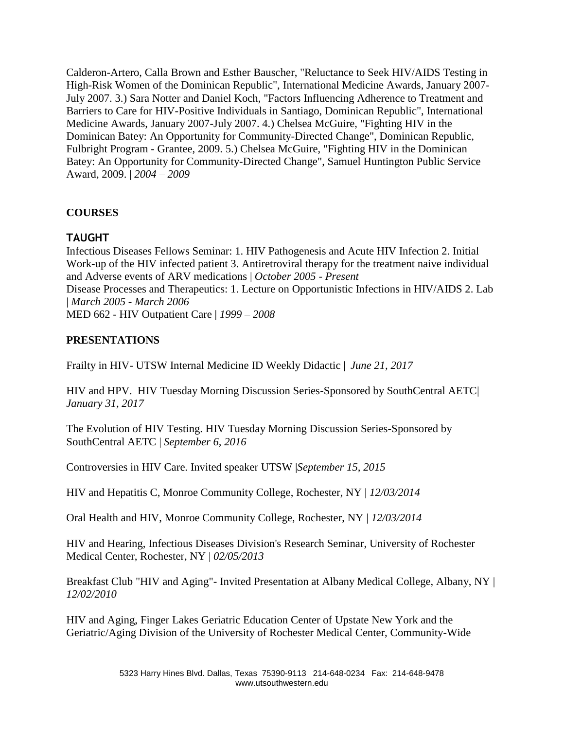Calderon-Artero, Calla Brown and Esther Bauscher, "Reluctance to Seek HIV/AIDS Testing in High-Risk Women of the Dominican Republic", International Medicine Awards, January 2007- July 2007. 3.) Sara Notter and Daniel Koch, "Factors Influencing Adherence to Treatment and Barriers to Care for HIV-Positive Individuals in Santiago, Dominican Republic", International Medicine Awards, January 2007-July 2007. 4.) Chelsea McGuire, "Fighting HIV in the Dominican Batey: An Opportunity for Community-Directed Change", Dominican Republic, Fulbright Program - Grantee, 2009. 5.) Chelsea McGuire, "Fighting HIV in the Dominican Batey: An Opportunity for Community-Directed Change", Samuel Huntington Public Service Award, 2009. | *2004 – 2009*

### **COURSES**

### **TAUGHT**

Infectious Diseases Fellows Seminar: 1. HIV Pathogenesis and Acute HIV Infection 2. Initial Work-up of the HIV infected patient 3. Antiretroviral therapy for the treatment naive individual and Adverse events of ARV medications | *October 2005 - Present*  Disease Processes and Therapeutics: 1. Lecture on Opportunistic Infections in HIV/AIDS 2. Lab | *March 2005 - March 2006*  MED 662 - HIV Outpatient Care | *1999 – 2008*

### **PRESENTATIONS**

Frailty in HIV- UTSW Internal Medicine ID Weekly Didactic | *June 21, 2017*

HIV and HPV. HIV Tuesday Morning Discussion Series-Sponsored by SouthCentral AETC| *January 31, 2017*

The Evolution of HIV Testing. HIV Tuesday Morning Discussion Series-Sponsored by SouthCentral AETC | *September 6, 2016*

Controversies in HIV Care. Invited speaker UTSW |*September 15, 2015*

HIV and Hepatitis C, Monroe Community College, Rochester, NY | *12/03/2014* 

Oral Health and HIV, Monroe Community College, Rochester, NY | *12/03/2014* 

HIV and Hearing, Infectious Diseases Division's Research Seminar, University of Rochester Medical Center, Rochester, NY | *02/05/2013*

Breakfast Club "HIV and Aging"- Invited Presentation at Albany Medical College, Albany, NY | *12/02/2010* 

HIV and Aging, Finger Lakes Geriatric Education Center of Upstate New York and the Geriatric/Aging Division of the University of Rochester Medical Center, Community-Wide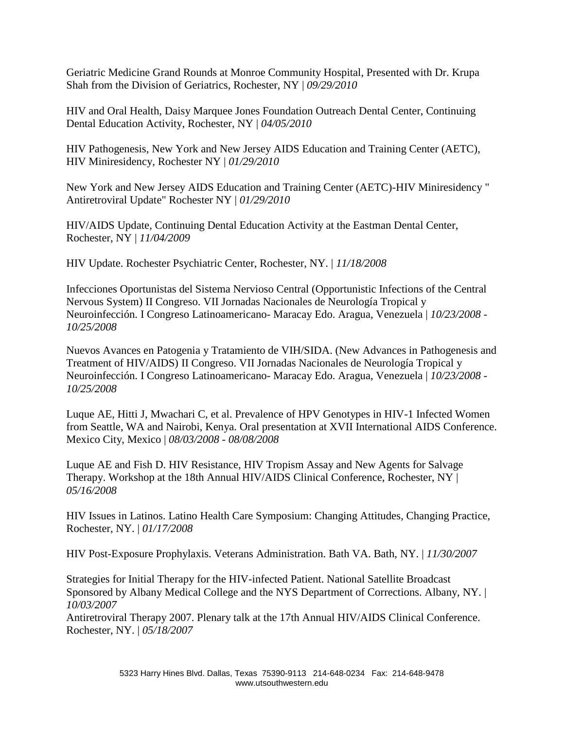Geriatric Medicine Grand Rounds at Monroe Community Hospital, Presented with Dr. Krupa Shah from the Division of Geriatrics, Rochester, NY | *09/29/2010* 

HIV and Oral Health, Daisy Marquee Jones Foundation Outreach Dental Center, Continuing Dental Education Activity, Rochester, NY | *04/05/2010*

HIV Pathogenesis, New York and New Jersey AIDS Education and Training Center (AETC), HIV Miniresidency, Rochester NY | *01/29/2010* 

New York and New Jersey AIDS Education and Training Center (AETC)-HIV Miniresidency " Antiretroviral Update" Rochester NY | *01/29/2010* 

HIV/AIDS Update, Continuing Dental Education Activity at the Eastman Dental Center, Rochester, NY | *11/04/2009* 

HIV Update. Rochester Psychiatric Center, Rochester, NY. | *11/18/2008* 

Infecciones Oportunistas del Sistema Nervioso Central (Opportunistic Infections of the Central Nervous System) II Congreso. VII Jornadas Nacionales de Neurología Tropical y Neuroinfección. I Congreso Latinoamericano- Maracay Edo. Aragua, Venezuela | *10/23/2008 - 10/25/2008*

Nuevos Avances en Patogenia y Tratamiento de VIH/SIDA. (New Advances in Pathogenesis and Treatment of HIV/AIDS) II Congreso. VII Jornadas Nacionales de Neurología Tropical y Neuroinfección. I Congreso Latinoamericano- Maracay Edo. Aragua, Venezuela | *10/23/2008 - 10/25/2008* 

Luque AE, Hitti J, Mwachari C, et al. Prevalence of HPV Genotypes in HIV-1 Infected Women from Seattle, WA and Nairobi, Kenya. Oral presentation at XVII International AIDS Conference. Mexico City, Mexico | *08/03/2008 - 08/08/2008* 

Luque AE and Fish D. HIV Resistance, HIV Tropism Assay and New Agents for Salvage Therapy. Workshop at the 18th Annual HIV/AIDS Clinical Conference, Rochester, NY | *05/16/2008* 

HIV Issues in Latinos. Latino Health Care Symposium: Changing Attitudes, Changing Practice, Rochester, NY. | *01/17/2008* 

HIV Post-Exposure Prophylaxis. Veterans Administration. Bath VA. Bath, NY. | *11/30/2007* 

Strategies for Initial Therapy for the HIV-infected Patient. National Satellite Broadcast Sponsored by Albany Medical College and the NYS Department of Corrections. Albany, NY. | *10/03/2007* 

Antiretroviral Therapy 2007. Plenary talk at the 17th Annual HIV/AIDS Clinical Conference. Rochester, NY. | *05/18/2007*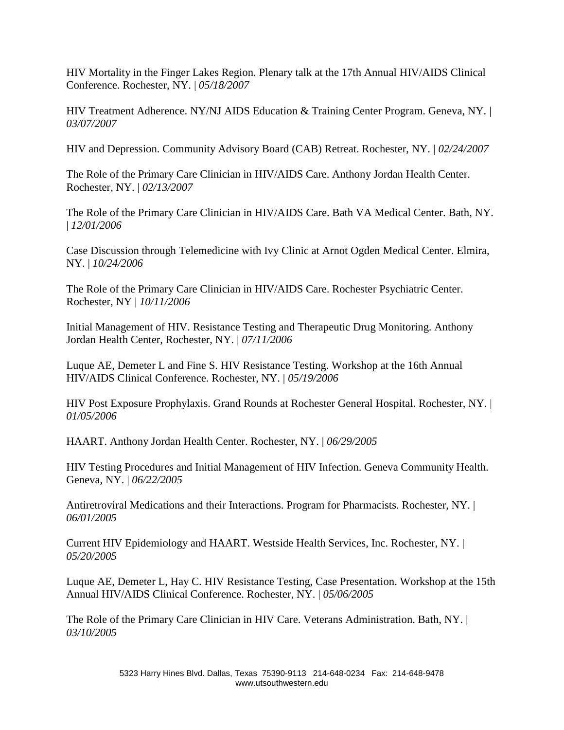HIV Mortality in the Finger Lakes Region. Plenary talk at the 17th Annual HIV/AIDS Clinical Conference. Rochester, NY. | *05/18/2007* 

HIV Treatment Adherence. NY/NJ AIDS Education & Training Center Program. Geneva, NY. | *03/07/2007*

HIV and Depression. Community Advisory Board (CAB) Retreat. Rochester, NY. | *02/24/2007* 

The Role of the Primary Care Clinician in HIV/AIDS Care. Anthony Jordan Health Center. Rochester, NY. | *02/13/2007* 

The Role of the Primary Care Clinician in HIV/AIDS Care. Bath VA Medical Center. Bath, NY. | *12/01/2006* 

Case Discussion through Telemedicine with Ivy Clinic at Arnot Ogden Medical Center. Elmira, NY. | *10/24/2006* 

The Role of the Primary Care Clinician in HIV/AIDS Care. Rochester Psychiatric Center. Rochester, NY | *10/11/2006* 

Initial Management of HIV. Resistance Testing and Therapeutic Drug Monitoring. Anthony Jordan Health Center, Rochester, NY. | *07/11/2006* 

Luque AE, Demeter L and Fine S. HIV Resistance Testing. Workshop at the 16th Annual HIV/AIDS Clinical Conference. Rochester, NY. | *05/19/2006* 

HIV Post Exposure Prophylaxis. Grand Rounds at Rochester General Hospital. Rochester, NY. | *01/05/2006* 

HAART. Anthony Jordan Health Center. Rochester, NY. | *06/29/2005* 

HIV Testing Procedures and Initial Management of HIV Infection. Geneva Community Health. Geneva, NY. | *06/22/2005* 

Antiretroviral Medications and their Interactions. Program for Pharmacists. Rochester, NY. | *06/01/2005* 

Current HIV Epidemiology and HAART. Westside Health Services, Inc. Rochester, NY. | *05/20/2005* 

Luque AE, Demeter L, Hay C. HIV Resistance Testing, Case Presentation. Workshop at the 15th Annual HIV/AIDS Clinical Conference. Rochester, NY. | *05/06/2005*

The Role of the Primary Care Clinician in HIV Care. Veterans Administration. Bath, NY. | *03/10/2005*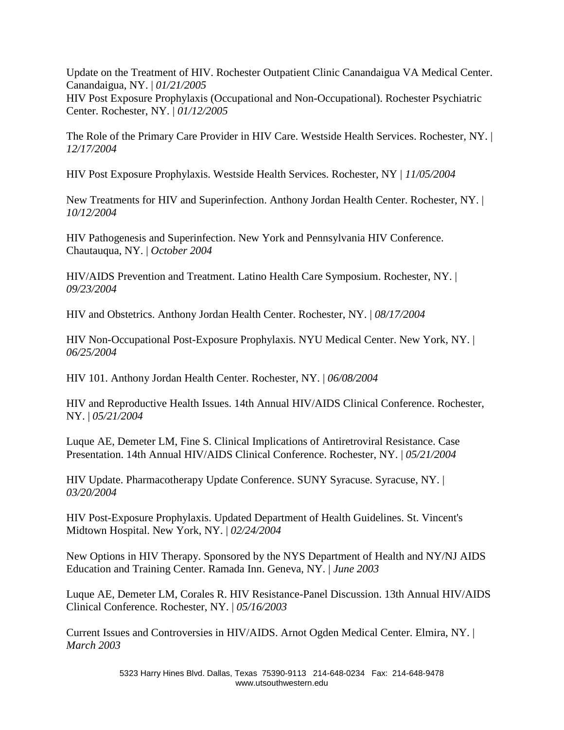Update on the Treatment of HIV. Rochester Outpatient Clinic Canandaigua VA Medical Center. Canandaigua, NY. | *01/21/2005*  HIV Post Exposure Prophylaxis (Occupational and Non-Occupational). Rochester Psychiatric Center. Rochester, NY. | *01/12/2005*

The Role of the Primary Care Provider in HIV Care. Westside Health Services. Rochester, NY. | *12/17/2004* 

HIV Post Exposure Prophylaxis. Westside Health Services. Rochester, NY | *11/05/2004* 

New Treatments for HIV and Superinfection. Anthony Jordan Health Center. Rochester, NY. | *10/12/2004* 

HIV Pathogenesis and Superinfection. New York and Pennsylvania HIV Conference. Chautauqua, NY. | *October 2004*

HIV/AIDS Prevention and Treatment. Latino Health Care Symposium. Rochester, NY. | *09/23/2004* 

HIV and Obstetrics. Anthony Jordan Health Center. Rochester, NY. | *08/17/2004* 

HIV Non-Occupational Post-Exposure Prophylaxis. NYU Medical Center. New York, NY. | *06/25/2004* 

HIV 101. Anthony Jordan Health Center. Rochester, NY. | *06/08/2004* 

HIV and Reproductive Health Issues. 14th Annual HIV/AIDS Clinical Conference. Rochester, NY. | *05/21/2004* 

Luque AE, Demeter LM, Fine S. Clinical Implications of Antiretroviral Resistance. Case Presentation. 14th Annual HIV/AIDS Clinical Conference. Rochester, NY. | *05/21/2004* 

HIV Update. Pharmacotherapy Update Conference. SUNY Syracuse. Syracuse, NY. | *03/20/2004*

HIV Post-Exposure Prophylaxis. Updated Department of Health Guidelines. St. Vincent's Midtown Hospital. New York, NY. | *02/24/2004* 

New Options in HIV Therapy. Sponsored by the NYS Department of Health and NY/NJ AIDS Education and Training Center. Ramada Inn. Geneva, NY. | *June 2003* 

Luque AE, Demeter LM, Corales R. HIV Resistance-Panel Discussion. 13th Annual HIV/AIDS Clinical Conference. Rochester, NY. | *05/16/2003* 

Current Issues and Controversies in HIV/AIDS. Arnot Ogden Medical Center. Elmira, NY. | *March 2003*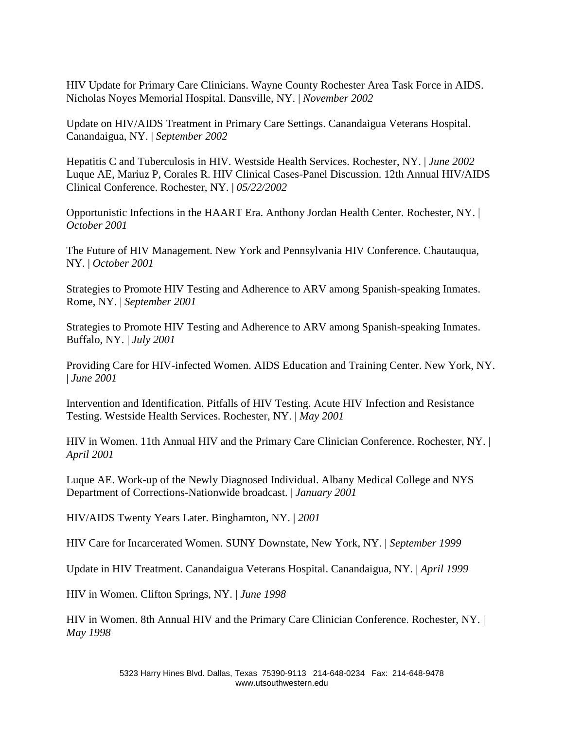HIV Update for Primary Care Clinicians. Wayne County Rochester Area Task Force in AIDS. Nicholas Noyes Memorial Hospital. Dansville, NY. | *November 2002* 

Update on HIV/AIDS Treatment in Primary Care Settings. Canandaigua Veterans Hospital. Canandaigua, NY. | *September 2002* 

Hepatitis C and Tuberculosis in HIV. Westside Health Services. Rochester, NY. | *June 2002*  Luque AE, Mariuz P, Corales R. HIV Clinical Cases-Panel Discussion. 12th Annual HIV/AIDS Clinical Conference. Rochester, NY. | *05/22/2002* 

Opportunistic Infections in the HAART Era. Anthony Jordan Health Center. Rochester, NY. | *October 2001* 

The Future of HIV Management. New York and Pennsylvania HIV Conference. Chautauqua, NY. | *October 2001*

Strategies to Promote HIV Testing and Adherence to ARV among Spanish-speaking Inmates. Rome, NY. | *September 2001* 

Strategies to Promote HIV Testing and Adherence to ARV among Spanish-speaking Inmates. Buffalo, NY. | *July 2001* 

Providing Care for HIV-infected Women. AIDS Education and Training Center. New York, NY. | *June 2001* 

Intervention and Identification. Pitfalls of HIV Testing. Acute HIV Infection and Resistance Testing. Westside Health Services. Rochester, NY. | *May 2001* 

HIV in Women. 11th Annual HIV and the Primary Care Clinician Conference. Rochester, NY. | *April 2001* 

Luque AE. Work-up of the Newly Diagnosed Individual. Albany Medical College and NYS Department of Corrections-Nationwide broadcast. | *January 2001* 

HIV/AIDS Twenty Years Later. Binghamton, NY. | *2001* 

HIV Care for Incarcerated Women. SUNY Downstate, New York, NY. | *September 1999* 

Update in HIV Treatment. Canandaigua Veterans Hospital. Canandaigua, NY. | *April 1999* 

HIV in Women. Clifton Springs, NY. | *June 1998* 

HIV in Women. 8th Annual HIV and the Primary Care Clinician Conference. Rochester, NY. | *May 1998*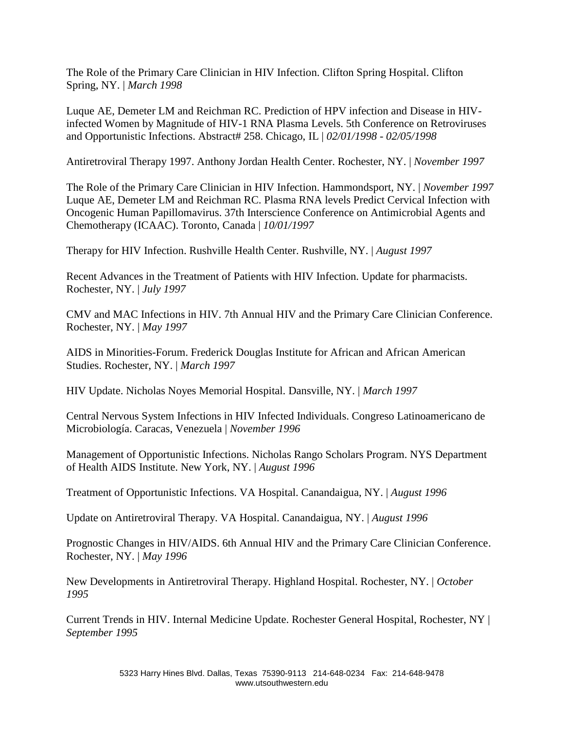The Role of the Primary Care Clinician in HIV Infection. Clifton Spring Hospital. Clifton Spring, NY. | *March 1998* 

Luque AE, Demeter LM and Reichman RC. Prediction of HPV infection and Disease in HIVinfected Women by Magnitude of HIV-1 RNA Plasma Levels. 5th Conference on Retroviruses and Opportunistic Infections. Abstract# 258. Chicago, IL | *02/01/1998 - 02/05/1998* 

Antiretroviral Therapy 1997. Anthony Jordan Health Center. Rochester, NY. | *November 1997* 

The Role of the Primary Care Clinician in HIV Infection. Hammondsport, NY. | *November 1997* Luque AE, Demeter LM and Reichman RC. Plasma RNA levels Predict Cervical Infection with Oncogenic Human Papillomavirus. 37th Interscience Conference on Antimicrobial Agents and Chemotherapy (ICAAC). Toronto, Canada | *10/01/1997*

Therapy for HIV Infection. Rushville Health Center. Rushville, NY. | *August 1997* 

Recent Advances in the Treatment of Patients with HIV Infection. Update for pharmacists. Rochester, NY. | *July 1997* 

CMV and MAC Infections in HIV. 7th Annual HIV and the Primary Care Clinician Conference. Rochester, NY. | *May 1997* 

AIDS in Minorities-Forum. Frederick Douglas Institute for African and African American Studies. Rochester, NY. | *March 1997* 

HIV Update. Nicholas Noyes Memorial Hospital. Dansville, NY. | *March 1997* 

Central Nervous System Infections in HIV Infected Individuals. Congreso Latinoamericano de Microbiología. Caracas, Venezuela | *November 1996* 

Management of Opportunistic Infections. Nicholas Rango Scholars Program. NYS Department of Health AIDS Institute. New York, NY. | *August 1996*

Treatment of Opportunistic Infections. VA Hospital. Canandaigua, NY. | *August 1996* 

Update on Antiretroviral Therapy. VA Hospital. Canandaigua, NY. | *August 1996* 

Prognostic Changes in HIV/AIDS. 6th Annual HIV and the Primary Care Clinician Conference. Rochester, NY. | *May 1996* 

New Developments in Antiretroviral Therapy. Highland Hospital. Rochester, NY. | *October 1995* 

Current Trends in HIV. Internal Medicine Update. Rochester General Hospital, Rochester, NY | *September 1995*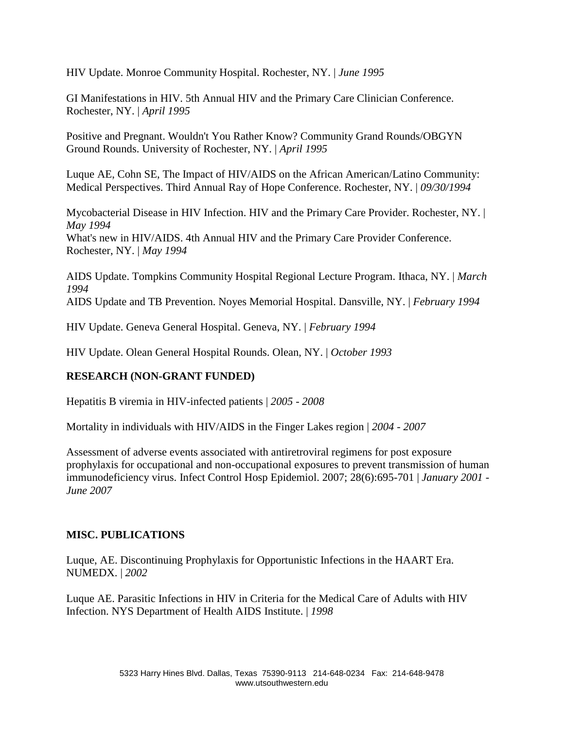HIV Update. Monroe Community Hospital. Rochester, NY. | *June 1995* 

GI Manifestations in HIV. 5th Annual HIV and the Primary Care Clinician Conference. Rochester, NY. | *April 1995* 

Positive and Pregnant. Wouldn't You Rather Know? Community Grand Rounds/OBGYN Ground Rounds. University of Rochester, NY. | *April 1995*

Luque AE, Cohn SE, The Impact of HIV/AIDS on the African American/Latino Community: Medical Perspectives. Third Annual Ray of Hope Conference. Rochester, NY. | *09/30/1994* 

Mycobacterial Disease in HIV Infection. HIV and the Primary Care Provider. Rochester, NY. | *May 1994*  What's new in HIV/AIDS. 4th Annual HIV and the Primary Care Provider Conference. Rochester, NY. | *May 1994* 

AIDS Update. Tompkins Community Hospital Regional Lecture Program. Ithaca, NY. | *March 1994*  AIDS Update and TB Prevention. Noyes Memorial Hospital. Dansville, NY. | *February 1994* 

HIV Update. Geneva General Hospital. Geneva, NY. | *February 1994* 

HIV Update. Olean General Hospital Rounds. Olean, NY. | *October 1993*

### **RESEARCH (NON-GRANT FUNDED)**

Hepatitis B viremia in HIV-infected patients | *2005 - 2008* 

Mortality in individuals with HIV/AIDS in the Finger Lakes region | *2004 - 2007* 

Assessment of adverse events associated with antiretroviral regimens for post exposure prophylaxis for occupational and non-occupational exposures to prevent transmission of human immunodeficiency virus. Infect Control Hosp Epidemiol. 2007; 28(6):695-701 | *January 2001 - June 2007*

### **MISC. PUBLICATIONS**

Luque, AE. Discontinuing Prophylaxis for Opportunistic Infections in the HAART Era. NUMEDX. | *2002*

Luque AE. Parasitic Infections in HIV in Criteria for the Medical Care of Adults with HIV Infection. NYS Department of Health AIDS Institute. | *1998*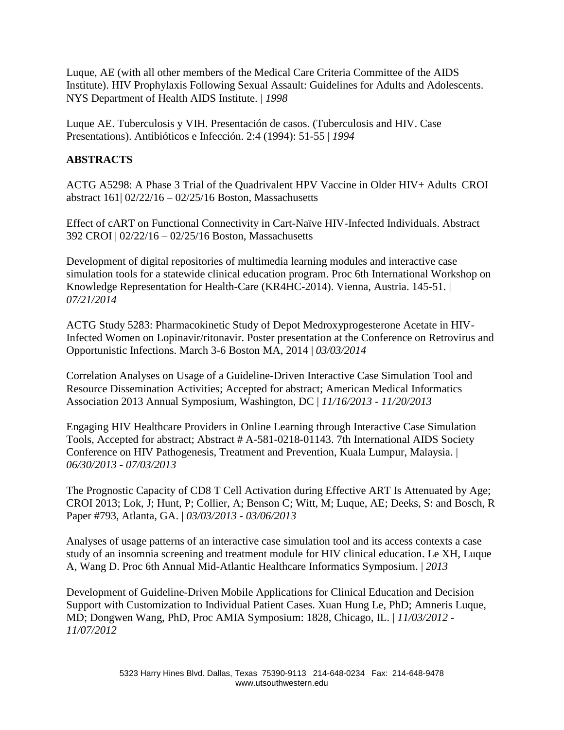Luque, AE (with all other members of the Medical Care Criteria Committee of the AIDS Institute). HIV Prophylaxis Following Sexual Assault: Guidelines for Adults and Adolescents. NYS Department of Health AIDS Institute. | *1998* 

Luque AE. Tuberculosis y VIH. Presentación de casos. (Tuberculosis and HIV. Case Presentations). Antibióticos e Infección. 2:4 (1994): 51-55 | *1994*

### **ABSTRACTS**

ACTG A5298: A Phase 3 Trial of the Quadrivalent HPV Vaccine in Older HIV+ Adults CROI abstract 161| 02/22/16 – 02/25/16 Boston, Massachusetts

Effect of cART on Functional Connectivity in Cart-Naïve HIV-Infected Individuals. Abstract 392 CROI | 02/22/16 – 02/25/16 Boston, Massachusetts

Development of digital repositories of multimedia learning modules and interactive case simulation tools for a statewide clinical education program. Proc 6th International Workshop on Knowledge Representation for Health-Care (KR4HC-2014). Vienna, Austria. 145-51. | *07/21/2014* 

ACTG Study 5283: Pharmacokinetic Study of Depot Medroxyprogesterone Acetate in HIV-Infected Women on Lopinavir/ritonavir. Poster presentation at the Conference on Retrovirus and Opportunistic Infections. March 3-6 Boston MA, 2014 | *03/03/2014* 

Correlation Analyses on Usage of a Guideline-Driven Interactive Case Simulation Tool and Resource Dissemination Activities; Accepted for abstract; American Medical Informatics Association 2013 Annual Symposium, Washington, DC | *11/16/2013 - 11/20/2013* 

Engaging HIV Healthcare Providers in Online Learning through Interactive Case Simulation Tools, Accepted for abstract; Abstract # A-581-0218-01143. 7th International AIDS Society Conference on HIV Pathogenesis, Treatment and Prevention, Kuala Lumpur, Malaysia. | *06/30/2013 - 07/03/2013* 

The Prognostic Capacity of CD8 T Cell Activation during Effective ART Is Attenuated by Age; CROI 2013; Lok, J; Hunt, P; Collier, A; Benson C; Witt, M; Luque, AE; Deeks, S: and Bosch, R Paper #793, Atlanta, GA. | *03/03/2013 - 03/06/2013* 

Analyses of usage patterns of an interactive case simulation tool and its access contexts a case study of an insomnia screening and treatment module for HIV clinical education. Le XH, Luque A, Wang D. Proc 6th Annual Mid-Atlantic Healthcare Informatics Symposium. | *2013*

Development of Guideline-Driven Mobile Applications for Clinical Education and Decision Support with Customization to Individual Patient Cases. Xuan Hung Le, PhD; Amneris Luque, MD; Dongwen Wang, PhD, Proc AMIA Symposium: 1828, Chicago, IL. | *11/03/2012 - 11/07/2012*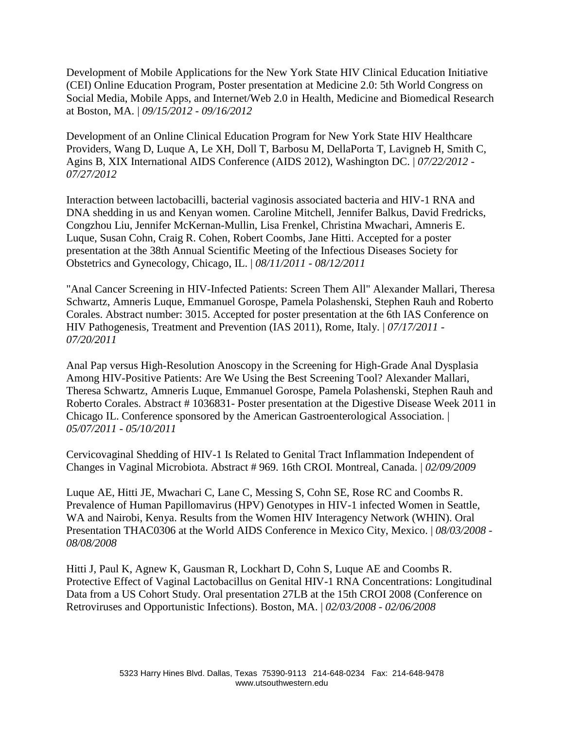Development of Mobile Applications for the New York State HIV Clinical Education Initiative (CEI) Online Education Program, Poster presentation at Medicine 2.0: 5th World Congress on Social Media, Mobile Apps, and Internet/Web 2.0 in Health, Medicine and Biomedical Research at Boston, MA. | *09/15/2012 - 09/16/2012* 

Development of an Online Clinical Education Program for New York State HIV Healthcare Providers, Wang D, Luque A, Le XH, Doll T, Barbosu M, DellaPorta T, Lavigneb H, Smith C, Agins B, XIX International AIDS Conference (AIDS 2012), Washington DC. | *07/22/2012 - 07/27/2012* 

Interaction between lactobacilli, bacterial vaginosis associated bacteria and HIV-1 RNA and DNA shedding in us and Kenyan women. Caroline Mitchell, Jennifer Balkus, David Fredricks, Congzhou Liu, Jennifer McKernan-Mullin, Lisa Frenkel, Christina Mwachari, Amneris E. Luque, Susan Cohn, Craig R. Cohen, Robert Coombs, Jane Hitti. Accepted for a poster presentation at the 38th Annual Scientific Meeting of the Infectious Diseases Society for Obstetrics and Gynecology, Chicago, IL. | *08/11/2011 - 08/12/2011* 

"Anal Cancer Screening in HIV-Infected Patients: Screen Them All" Alexander Mallari, Theresa Schwartz, Amneris Luque, Emmanuel Gorospe, Pamela Polashenski, Stephen Rauh and Roberto Corales. Abstract number: 3015. Accepted for poster presentation at the 6th IAS Conference on HIV Pathogenesis, Treatment and Prevention (IAS 2011), Rome, Italy. | *07/17/2011 - 07/20/2011*

Anal Pap versus High-Resolution Anoscopy in the Screening for High-Grade Anal Dysplasia Among HIV-Positive Patients: Are We Using the Best Screening Tool? Alexander Mallari, Theresa Schwartz, Amneris Luque, Emmanuel Gorospe, Pamela Polashenski, Stephen Rauh and Roberto Corales. Abstract # 1036831- Poster presentation at the Digestive Disease Week 2011 in Chicago IL. Conference sponsored by the American Gastroenterological Association. | *05/07/2011 - 05/10/2011* 

Cervicovaginal Shedding of HIV-1 Is Related to Genital Tract Inflammation Independent of Changes in Vaginal Microbiota. Abstract # 969. 16th CROI. Montreal, Canada. | *02/09/2009* 

Luque AE, Hitti JE, Mwachari C, Lane C, Messing S, Cohn SE, Rose RC and Coombs R. Prevalence of Human Papillomavirus (HPV) Genotypes in HIV-1 infected Women in Seattle, WA and Nairobi, Kenya. Results from the Women HIV Interagency Network (WHIN). Oral Presentation THAC0306 at the World AIDS Conference in Mexico City, Mexico. | *08/03/2008 - 08/08/2008* 

Hitti J, Paul K, Agnew K, Gausman R, Lockhart D, Cohn S, Luque AE and Coombs R. Protective Effect of Vaginal Lactobacillus on Genital HIV-1 RNA Concentrations: Longitudinal Data from a US Cohort Study. Oral presentation 27LB at the 15th CROI 2008 (Conference on Retroviruses and Opportunistic Infections). Boston, MA. | *02/03/2008 - 02/06/2008*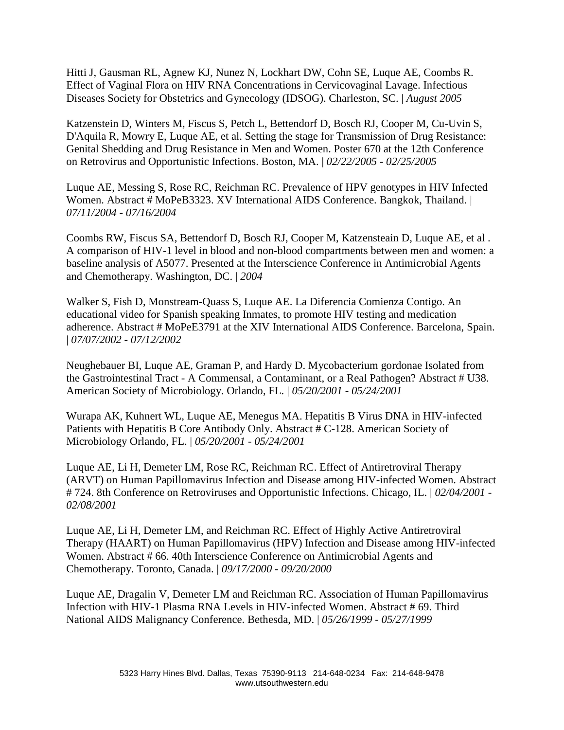Hitti J, Gausman RL, Agnew KJ, Nunez N, Lockhart DW, Cohn SE, Luque AE, Coombs R. Effect of Vaginal Flora on HIV RNA Concentrations in Cervicovaginal Lavage. Infectious Diseases Society for Obstetrics and Gynecology (IDSOG). Charleston, SC. | *August 2005*

Katzenstein D, Winters M, Fiscus S, Petch L, Bettendorf D, Bosch RJ, Cooper M, Cu-Uvin S, D'Aquila R, Mowry E, Luque AE, et al. Setting the stage for Transmission of Drug Resistance: Genital Shedding and Drug Resistance in Men and Women. Poster 670 at the 12th Conference on Retrovirus and Opportunistic Infections. Boston, MA. | *02/22/2005 - 02/25/2005* 

Luque AE, Messing S, Rose RC, Reichman RC. Prevalence of HPV genotypes in HIV Infected Women. Abstract # MoPeB3323. XV International AIDS Conference. Bangkok, Thailand. | *07/11/2004 - 07/16/2004*

Coombs RW, Fiscus SA, Bettendorf D, Bosch RJ, Cooper M, Katzensteain D, Luque AE, et al . A comparison of HIV-1 level in blood and non-blood compartments between men and women: a baseline analysis of A5077. Presented at the Interscience Conference in Antimicrobial Agents and Chemotherapy. Washington, DC. | *2004* 

Walker S, Fish D, Monstream-Quass S, Luque AE. La Diferencia Comienza Contigo. An educational video for Spanish speaking Inmates, to promote HIV testing and medication adherence. Abstract # MoPeE3791 at the XIV International AIDS Conference. Barcelona, Spain. | *07/07/2002 - 07/12/2002* 

Neughebauer BI, Luque AE, Graman P, and Hardy D. Mycobacterium gordonae Isolated from the Gastrointestinal Tract - A Commensal, a Contaminant, or a Real Pathogen? Abstract # U38. American Society of Microbiology. Orlando, FL. | *05/20/2001 - 05/24/2001* 

Wurapa AK, Kuhnert WL, Luque AE, Menegus MA. Hepatitis B Virus DNA in HIV-infected Patients with Hepatitis B Core Antibody Only. Abstract # C-128. American Society of Microbiology Orlando, FL. | *05/20/2001 - 05/24/2001* 

Luque AE, Li H, Demeter LM, Rose RC, Reichman RC. Effect of Antiretroviral Therapy (ARVT) on Human Papillomavirus Infection and Disease among HIV-infected Women. Abstract # 724. 8th Conference on Retroviruses and Opportunistic Infections. Chicago, IL. | *02/04/2001 - 02/08/2001* 

Luque AE, Li H, Demeter LM, and Reichman RC. Effect of Highly Active Antiretroviral Therapy (HAART) on Human Papillomavirus (HPV) Infection and Disease among HIV-infected Women. Abstract # 66. 40th Interscience Conference on Antimicrobial Agents and Chemotherapy. Toronto, Canada. | *09/17/2000 - 09/20/2000* 

Luque AE, Dragalin V, Demeter LM and Reichman RC. Association of Human Papillomavirus Infection with HIV-1 Plasma RNA Levels in HIV-infected Women. Abstract # 69. Third National AIDS Malignancy Conference. Bethesda, MD. | *05/26/1999 - 05/27/1999*